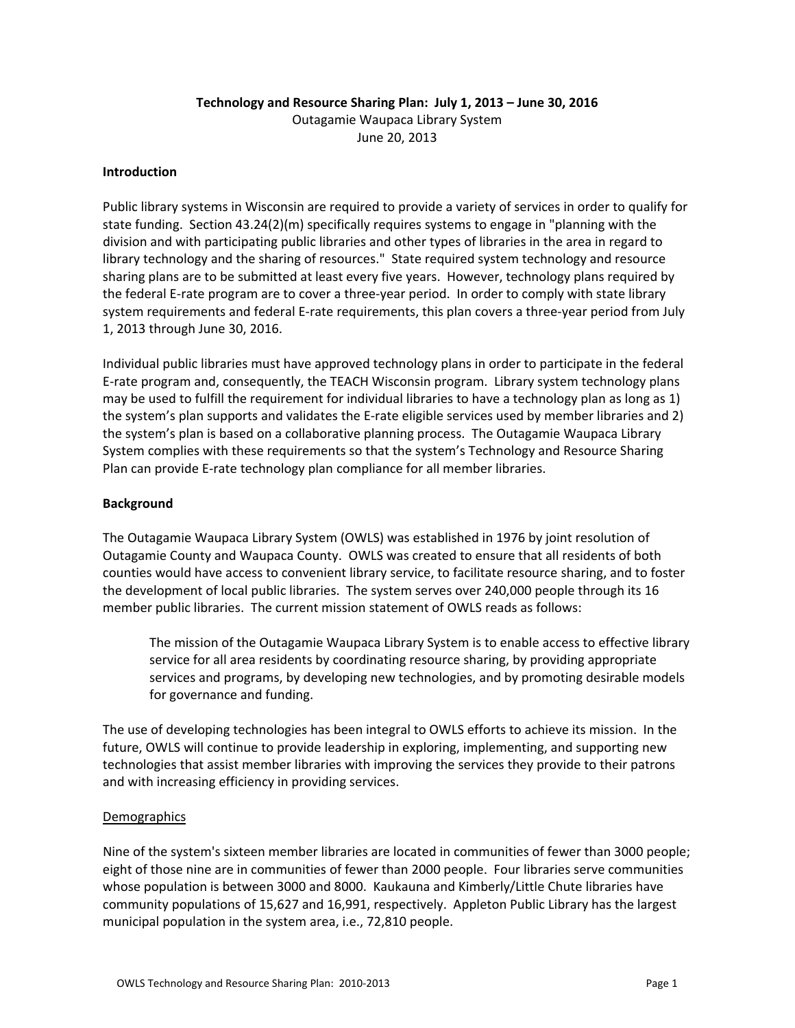# **Technology and Resource Sharing Plan: July 1, 2013 – June 30, 2016** Outagamie Waupaca Library System June 20, 2013

### **Introduction**

Public library systems in Wisconsin are required to provide a variety of services in order to qualify for state funding. Section 43.24(2)(m) specifically requires systems to engage in "planning with the division and with participating public libraries and other types of libraries in the area in regard to library technology and the sharing of resources." State required system technology and resource sharing plans are to be submitted at least every five years. However, technology plans required by the federal E‐rate program are to cover a three‐year period. In order to comply with state library system requirements and federal E-rate requirements, this plan covers a three-year period from July 1, 2013 through June 30, 2016.

Individual public libraries must have approved technology plans in order to participate in the federal E‐rate program and, consequently, the TEACH Wisconsin program. Library system technology plans may be used to fulfill the requirement for individual libraries to have a technology plan as long as 1) the system's plan supports and validates the E-rate eligible services used by member libraries and 2) the system's plan is based on a collaborative planning process. The Outagamie Waupaca Library System complies with these requirements so that the system's Technology and Resource Sharing Plan can provide E‐rate technology plan compliance for all member libraries.

### **Background**

The Outagamie Waupaca Library System (OWLS) was established in 1976 by joint resolution of Outagamie County and Waupaca County. OWLS was created to ensure that all residents of both counties would have access to convenient library service, to facilitate resource sharing, and to foster the development of local public libraries. The system serves over 240,000 people through its 16 member public libraries. The current mission statement of OWLS reads as follows:

The mission of the Outagamie Waupaca Library System is to enable access to effective library service for all area residents by coordinating resource sharing, by providing appropriate services and programs, by developing new technologies, and by promoting desirable models for governance and funding.

The use of developing technologies has been integral to OWLS efforts to achieve its mission. In the future, OWLS will continue to provide leadership in exploring, implementing, and supporting new technologies that assist member libraries with improving the services they provide to their patrons and with increasing efficiency in providing services.

### **Demographics**

Nine of the system's sixteen member libraries are located in communities of fewer than 3000 people; eight of those nine are in communities of fewer than 2000 people. Four libraries serve communities whose population is between 3000 and 8000. Kaukauna and Kimberly/Little Chute libraries have community populations of 15,627 and 16,991, respectively. Appleton Public Library has the largest municipal population in the system area, i.e., 72,810 people.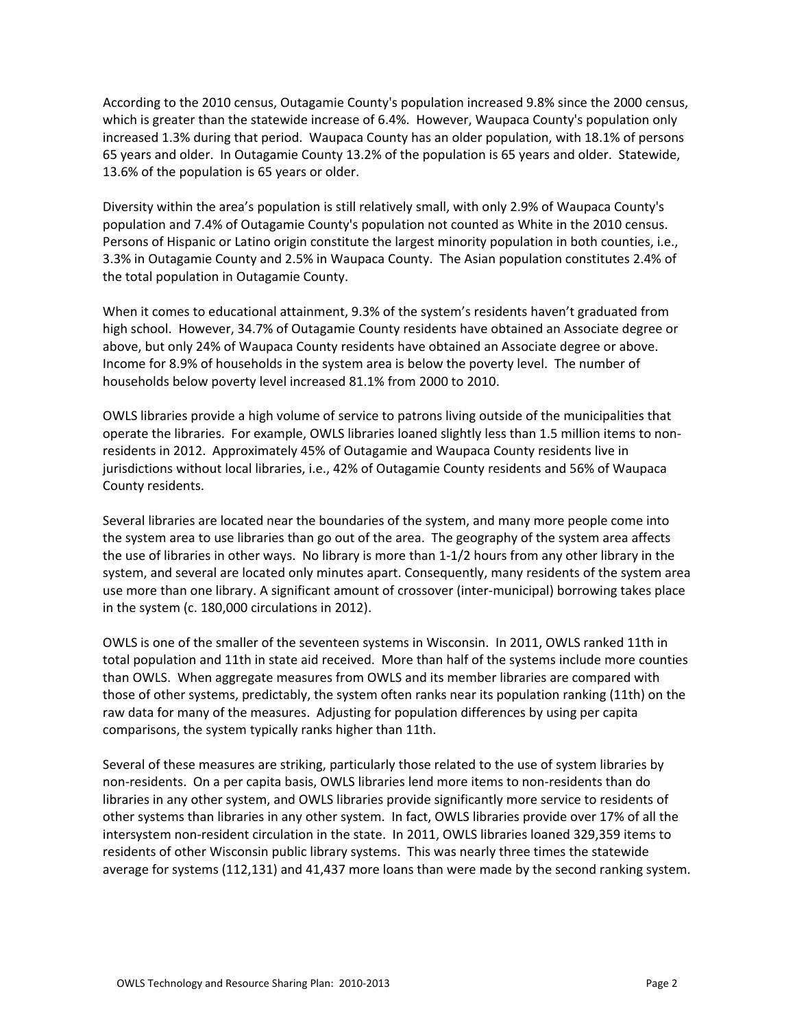According to the 2010 census, Outagamie County's population increased 9.8% since the 2000 census, which is greater than the statewide increase of 6.4%. However, Waupaca County's population only increased 1.3% during that period. Waupaca County has an older population, with 18.1% of persons 65 years and older. In Outagamie County 13.2% of the population is 65 years and older. Statewide, 13.6% of the population is 65 years or older.

Diversity within the area's population is still relatively small, with only 2.9% of Waupaca County's population and 7.4% of Outagamie County's population not counted as White in the 2010 census. Persons of Hispanic or Latino origin constitute the largest minority population in both counties, i.e., 3.3% in Outagamie County and 2.5% in Waupaca County. The Asian population constitutes 2.4% of the total population in Outagamie County.

When it comes to educational attainment, 9.3% of the system's residents haven't graduated from high school. However, 34.7% of Outagamie County residents have obtained an Associate degree or above, but only 24% of Waupaca County residents have obtained an Associate degree or above. Income for 8.9% of households in the system area is below the poverty level. The number of households below poverty level increased 81.1% from 2000 to 2010.

OWLS libraries provide a high volume of service to patrons living outside of the municipalities that operate the libraries. For example, OWLS libraries loaned slightly less than 1.5 million items to non‐ residents in 2012. Approximately 45% of Outagamie and Waupaca County residents live in jurisdictions without local libraries, i.e., 42% of Outagamie County residents and 56% of Waupaca County residents.

Several libraries are located near the boundaries of the system, and many more people come into the system area to use libraries than go out of the area. The geography of the system area affects the use of libraries in other ways. No library is more than 1‐1/2 hours from any other library in the system, and several are located only minutes apart. Consequently, many residents of the system area use more than one library. A significant amount of crossover (inter-municipal) borrowing takes place in the system (c. 180,000 circulations in 2012).

OWLS is one of the smaller of the seventeen systems in Wisconsin. In 2011, OWLS ranked 11th in total population and 11th in state aid received. More than half of the systems include more counties than OWLS. When aggregate measures from OWLS and its member libraries are compared with those of other systems, predictably, the system often ranks near its population ranking (11th) on the raw data for many of the measures. Adjusting for population differences by using per capita comparisons, the system typically ranks higher than 11th.

Several of these measures are striking, particularly those related to the use of system libraries by non-residents. On a per capita basis, OWLS libraries lend more items to non-residents than do libraries in any other system, and OWLS libraries provide significantly more service to residents of other systems than libraries in any other system. In fact, OWLS libraries provide over 17% of all the intersystem non-resident circulation in the state. In 2011, OWLS libraries loaned 329,359 items to residents of other Wisconsin public library systems. This was nearly three times the statewide average for systems (112,131) and 41,437 more loans than were made by the second ranking system.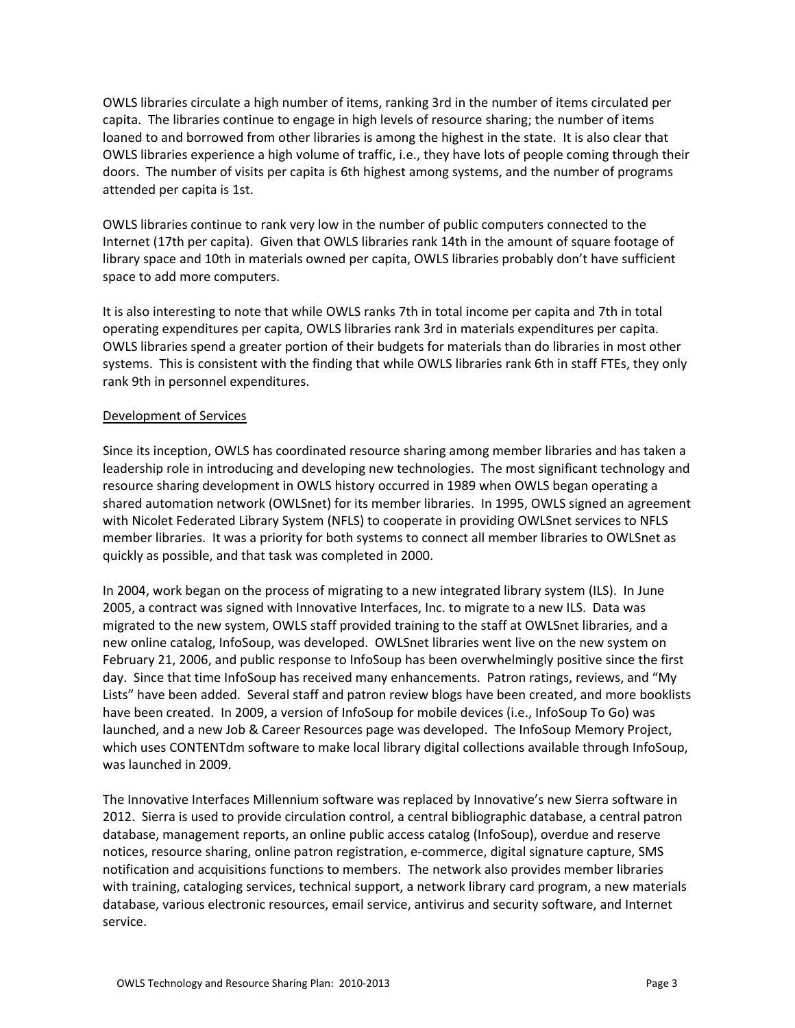OWLS libraries circulate a high number of items, ranking 3rd in the number of items circulated per capita. The libraries continue to engage in high levels of resource sharing; the number of items loaned to and borrowed from other libraries is among the highest in the state. It is also clear that OWLS libraries experience a high volume of traffic, i.e., they have lots of people coming through their doors. The number of visits per capita is 6th highest among systems, and the number of programs attended per capita is 1st.

OWLS libraries continue to rank very low in the number of public computers connected to the Internet (17th per capita). Given that OWLS libraries rank 14th in the amount of square footage of library space and 10th in materials owned per capita, OWLS libraries probably don't have sufficient space to add more computers.

It is also interesting to note that while OWLS ranks 7th in total income per capita and 7th in total operating expenditures per capita, OWLS libraries rank 3rd in materials expenditures per capita. OWLS libraries spend a greater portion of their budgets for materials than do libraries in most other systems. This is consistent with the finding that while OWLS libraries rank 6th in staff FTEs, they only rank 9th in personnel expenditures.

### Development of Services

Since its inception, OWLS has coordinated resource sharing among member libraries and has taken a leadership role in introducing and developing new technologies. The most significant technology and resource sharing development in OWLS history occurred in 1989 when OWLS began operating a shared automation network (OWLSnet) for its member libraries. In 1995, OWLS signed an agreement with Nicolet Federated Library System (NFLS) to cooperate in providing OWLSnet services to NFLS member libraries. It was a priority for both systems to connect all member libraries to OWLSnet as quickly as possible, and that task was completed in 2000.

In 2004, work began on the process of migrating to a new integrated library system (ILS). In June 2005, a contract was signed with Innovative Interfaces, Inc. to migrate to a new ILS. Data was migrated to the new system, OWLS staff provided training to the staff at OWLSnet libraries, and a new online catalog, InfoSoup, was developed. OWLSnet libraries went live on the new system on February 21, 2006, and public response to InfoSoup has been overwhelmingly positive since the first day. Since that time InfoSoup has received many enhancements. Patron ratings, reviews, and "My Lists" have been added. Several staff and patron review blogs have been created, and more booklists have been created. In 2009, a version of InfoSoup for mobile devices (i.e., InfoSoup To Go) was launched, and a new Job & Career Resources page was developed. The InfoSoup Memory Project, which uses CONTENTdm software to make local library digital collections available through InfoSoup, was launched in 2009.

The Innovative Interfaces Millennium software was replaced by Innovative's new Sierra software in 2012. Sierra is used to provide circulation control, a central bibliographic database, a central patron database, management reports, an online public access catalog (InfoSoup), overdue and reserve notices, resource sharing, online patron registration, e‐commerce, digital signature capture, SMS notification and acquisitions functions to members. The network also provides member libraries with training, cataloging services, technical support, a network library card program, a new materials database, various electronic resources, email service, antivirus and security software, and Internet service.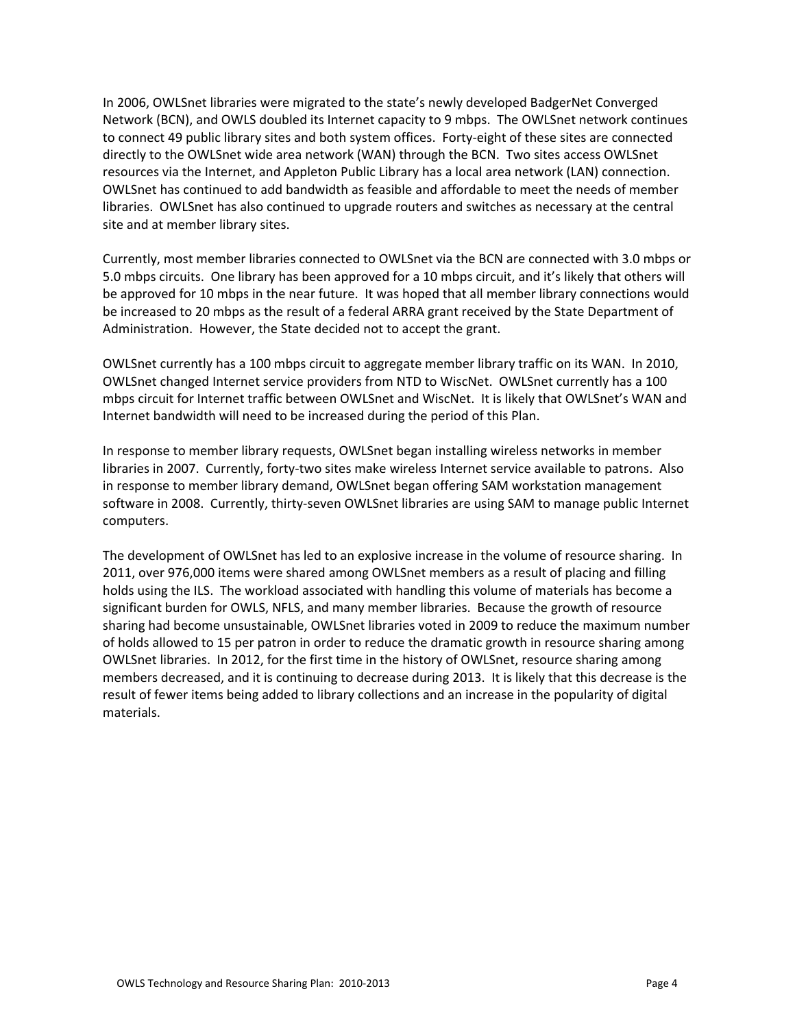In 2006, OWLSnet libraries were migrated to the state's newly developed BadgerNet Converged Network (BCN), and OWLS doubled its Internet capacity to 9 mbps. The OWLSnet network continues to connect 49 public library sites and both system offices. Forty-eight of these sites are connected directly to the OWLSnet wide area network (WAN) through the BCN. Two sites access OWLSnet resources via the Internet, and Appleton Public Library has a local area network (LAN) connection. OWLSnet has continued to add bandwidth as feasible and affordable to meet the needs of member libraries. OWLSnet has also continued to upgrade routers and switches as necessary at the central site and at member library sites.

Currently, most member libraries connected to OWLSnet via the BCN are connected with 3.0 mbps or 5.0 mbps circuits. One library has been approved for a 10 mbps circuit, and it's likely that others will be approved for 10 mbps in the near future. It was hoped that all member library connections would be increased to 20 mbps as the result of a federal ARRA grant received by the State Department of Administration. However, the State decided not to accept the grant.

OWLSnet currently has a 100 mbps circuit to aggregate member library traffic on its WAN. In 2010, OWLSnet changed Internet service providers from NTD to WiscNet. OWLSnet currently has a 100 mbps circuit for Internet traffic between OWLSnet and WiscNet. It is likely that OWLSnet's WAN and Internet bandwidth will need to be increased during the period of this Plan.

In response to member library requests, OWLSnet began installing wireless networks in member libraries in 2007. Currently, forty‐two sites make wireless Internet service available to patrons. Also in response to member library demand, OWLSnet began offering SAM workstation management software in 2008. Currently, thirty-seven OWLSnet libraries are using SAM to manage public Internet computers.

The development of OWLSnet has led to an explosive increase in the volume of resource sharing. In 2011, over 976,000 items were shared among OWLSnet members as a result of placing and filling holds using the ILS. The workload associated with handling this volume of materials has become a significant burden for OWLS, NFLS, and many member libraries. Because the growth of resource sharing had become unsustainable, OWLSnet libraries voted in 2009 to reduce the maximum number of holds allowed to 15 per patron in order to reduce the dramatic growth in resource sharing among OWLSnet libraries. In 2012, for the first time in the history of OWLSnet, resource sharing among members decreased, and it is continuing to decrease during 2013. It is likely that this decrease is the result of fewer items being added to library collections and an increase in the popularity of digital materials.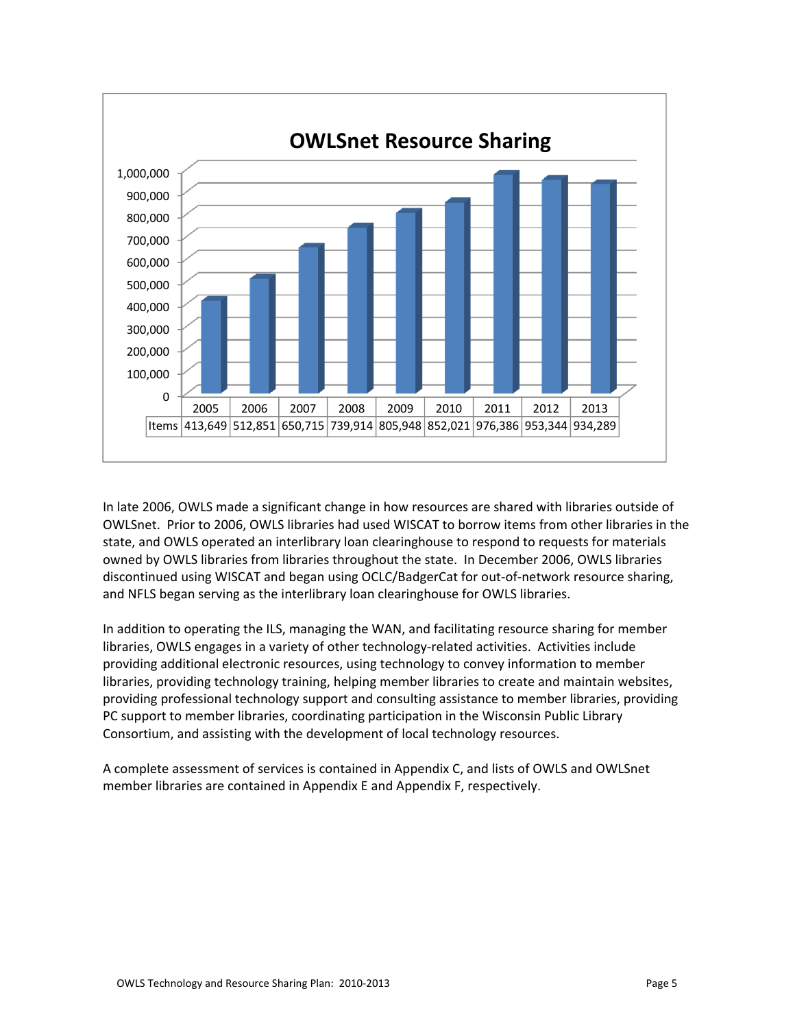

In late 2006, OWLS made a significant change in how resources are shared with libraries outside of OWLSnet. Prior to 2006, OWLS libraries had used WISCAT to borrow items from other libraries in the state, and OWLS operated an interlibrary loan clearinghouse to respond to requests for materials owned by OWLS libraries from libraries throughout the state. In December 2006, OWLS libraries discontinued using WISCAT and began using OCLC/BadgerCat for out‐of‐network resource sharing, and NFLS began serving as the interlibrary loan clearinghouse for OWLS libraries.

In addition to operating the ILS, managing the WAN, and facilitating resource sharing for member libraries, OWLS engages in a variety of other technology-related activities. Activities include providing additional electronic resources, using technology to convey information to member libraries, providing technology training, helping member libraries to create and maintain websites, providing professional technology support and consulting assistance to member libraries, providing PC support to member libraries, coordinating participation in the Wisconsin Public Library Consortium, and assisting with the development of local technology resources.

A complete assessment of services is contained in Appendix C, and lists of OWLS and OWLSnet member libraries are contained in Appendix E and Appendix F, respectively.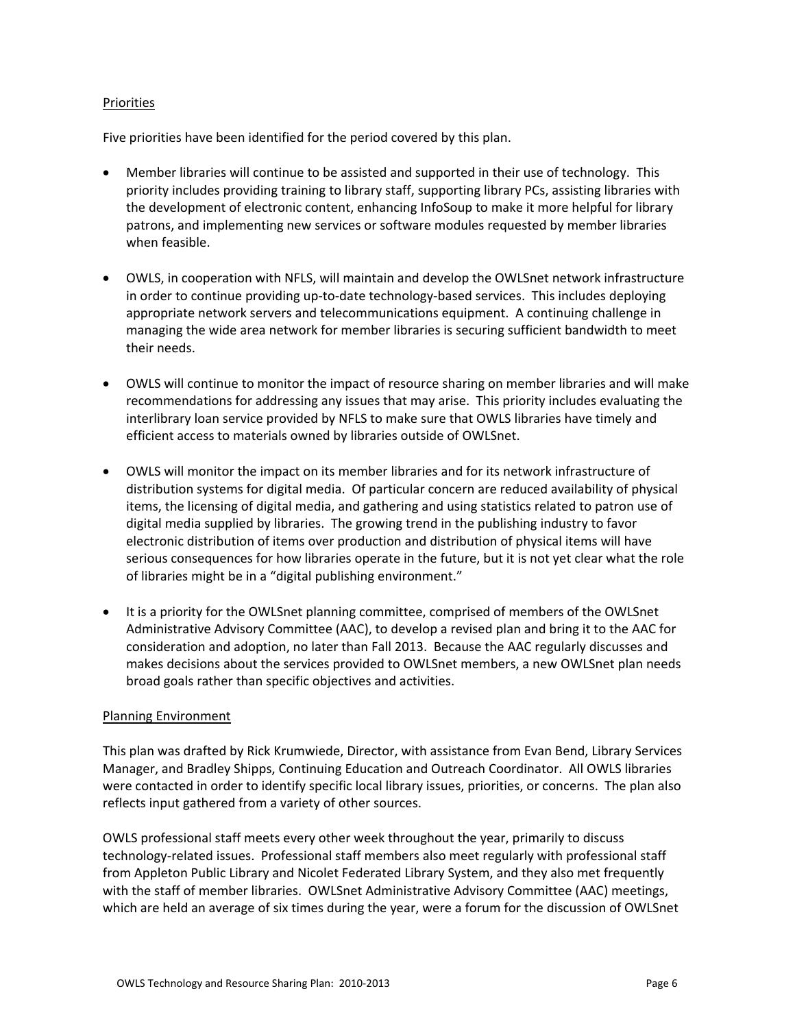### Priorities

Five priorities have been identified for the period covered by this plan.

- Member libraries will continue to be assisted and supported in their use of technology. This priority includes providing training to library staff, supporting library PCs, assisting libraries with the development of electronic content, enhancing InfoSoup to make it more helpful for library patrons, and implementing new services or software modules requested by member libraries when feasible.
- OWLS, in cooperation with NFLS, will maintain and develop the OWLSnet network infrastructure in order to continue providing up-to-date technology-based services. This includes deploying appropriate network servers and telecommunications equipment. A continuing challenge in managing the wide area network for member libraries is securing sufficient bandwidth to meet their needs.
- OWLS will continue to monitor the impact of resource sharing on member libraries and will make recommendations for addressing any issues that may arise. This priority includes evaluating the interlibrary loan service provided by NFLS to make sure that OWLS libraries have timely and efficient access to materials owned by libraries outside of OWLSnet.
- OWLS will monitor the impact on its member libraries and for its network infrastructure of distribution systems for digital media. Of particular concern are reduced availability of physical items, the licensing of digital media, and gathering and using statistics related to patron use of digital media supplied by libraries. The growing trend in the publishing industry to favor electronic distribution of items over production and distribution of physical items will have serious consequences for how libraries operate in the future, but it is not yet clear what the role of libraries might be in a "digital publishing environment."
- It is a priority for the OWLSnet planning committee, comprised of members of the OWLSnet Administrative Advisory Committee (AAC), to develop a revised plan and bring it to the AAC for consideration and adoption, no later than Fall 2013. Because the AAC regularly discusses and makes decisions about the services provided to OWLSnet members, a new OWLSnet plan needs broad goals rather than specific objectives and activities.

### Planning Environment

This plan was drafted by Rick Krumwiede, Director, with assistance from Evan Bend, Library Services Manager, and Bradley Shipps, Continuing Education and Outreach Coordinator. All OWLS libraries were contacted in order to identify specific local library issues, priorities, or concerns. The plan also reflects input gathered from a variety of other sources.

OWLS professional staff meets every other week throughout the year, primarily to discuss technology‐related issues. Professional staff members also meet regularly with professional staff from Appleton Public Library and Nicolet Federated Library System, and they also met frequently with the staff of member libraries. OWLSnet Administrative Advisory Committee (AAC) meetings, which are held an average of six times during the year, were a forum for the discussion of OWLSnet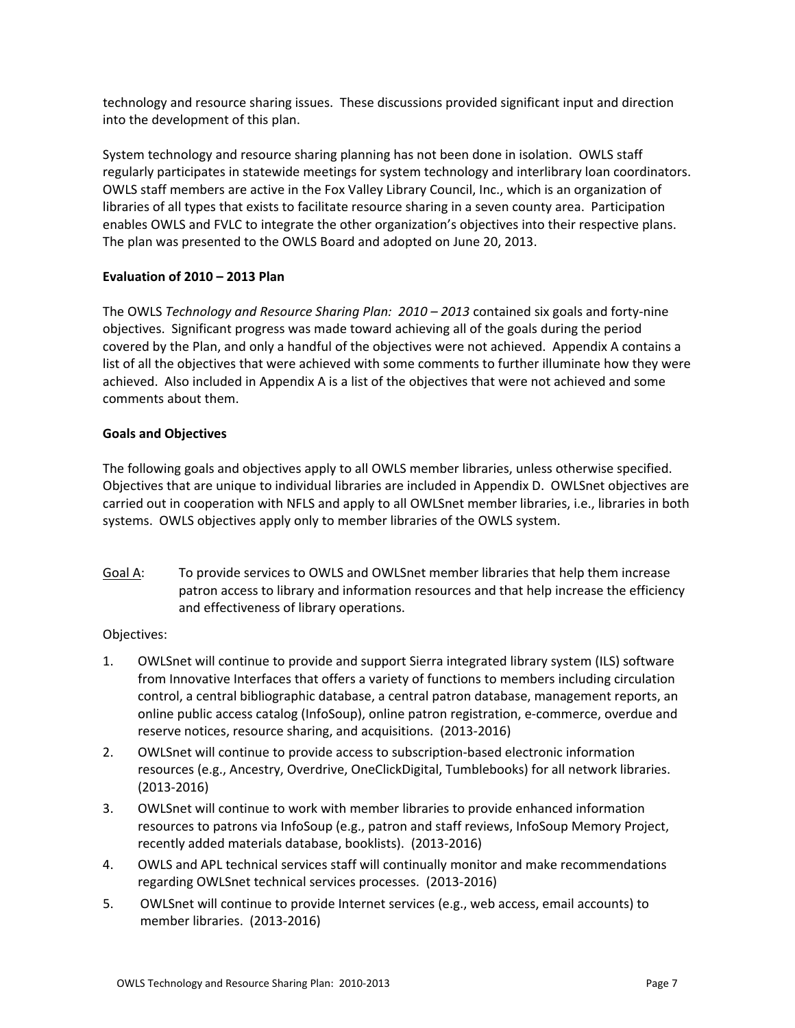technology and resource sharing issues. These discussions provided significant input and direction into the development of this plan.

System technology and resource sharing planning has not been done in isolation. OWLS staff regularly participates in statewide meetings for system technology and interlibrary loan coordinators. OWLS staff members are active in the Fox Valley Library Council, Inc., which is an organization of libraries of all types that exists to facilitate resource sharing in a seven county area. Participation enables OWLS and FVLC to integrate the other organization's objectives into their respective plans. The plan was presented to the OWLS Board and adopted on June 20, 2013.

# **Evaluation of 2010 – 2013 Plan**

The OWLS *Technology and Resource Sharing Plan: 2010 – 2013* contained six goals and forty‐nine objectives. Significant progress was made toward achieving all of the goals during the period covered by the Plan, and only a handful of the objectives were not achieved. Appendix A contains a list of all the objectives that were achieved with some comments to further illuminate how they were achieved. Also included in Appendix A is a list of the objectives that were not achieved and some comments about them.

# **Goals and Objectives**

The following goals and objectives apply to all OWLS member libraries, unless otherwise specified. Objectives that are unique to individual libraries are included in Appendix D. OWLSnet objectives are carried out in cooperation with NFLS and apply to all OWLSnet member libraries, i.e., libraries in both systems. OWLS objectives apply only to member libraries of the OWLS system.

Goal A: To provide services to OWLS and OWLSnet member libraries that help them increase patron access to library and information resources and that help increase the efficiency and effectiveness of library operations.

# Objectives:

- 1. OWLSnet will continue to provide and support Sierra integrated library system (ILS) software from Innovative Interfaces that offers a variety of functions to members including circulation control, a central bibliographic database, a central patron database, management reports, an online public access catalog (InfoSoup), online patron registration, e‐commerce, overdue and reserve notices, resource sharing, and acquisitions. (2013‐2016)
- 2. OWLSnet will continue to provide access to subscription-based electronic information resources (e.g., Ancestry, Overdrive, OneClickDigital, Tumblebooks) for all network libraries. (2013‐2016)
- 3. OWLSnet will continue to work with member libraries to provide enhanced information resources to patrons via InfoSoup (e.g., patron and staff reviews, InfoSoup Memory Project, recently added materials database, booklists). (2013‐2016)
- 4. OWLS and APL technical services staff will continually monitor and make recommendations regarding OWLSnet technical services processes. (2013‐2016)
- 5. OWLSnet will continue to provide Internet services (e.g., web access, email accounts) to member libraries. (2013‐2016)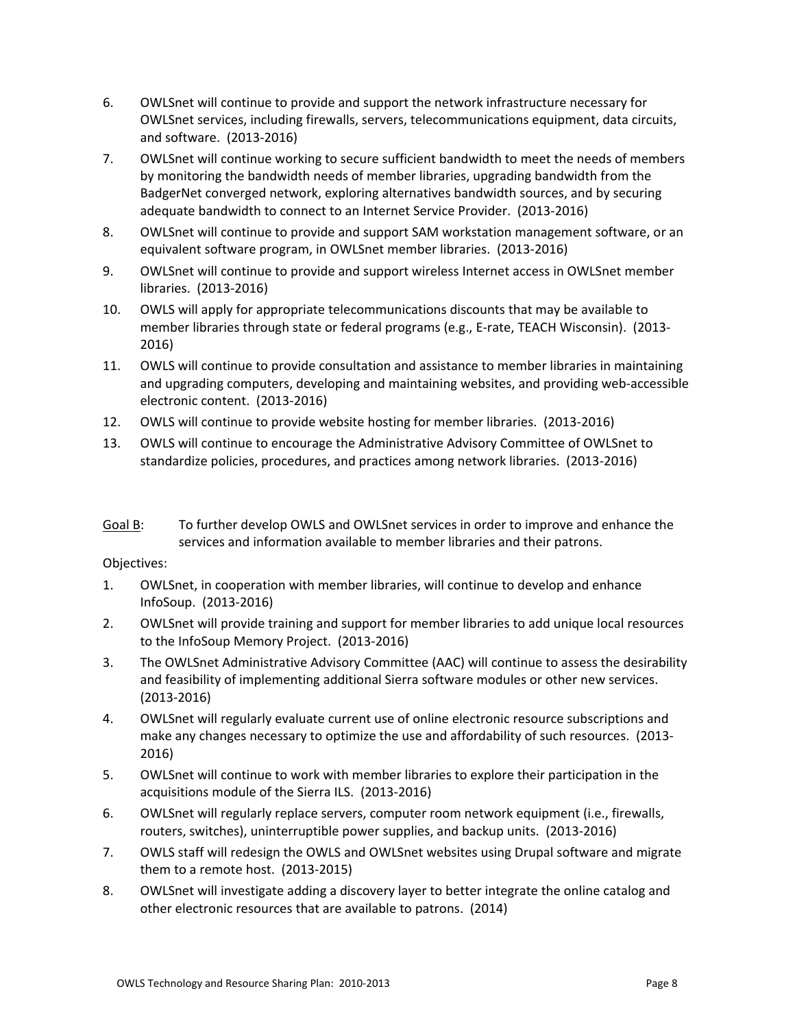- 6. OWLSnet will continue to provide and support the network infrastructure necessary for OWLSnet services, including firewalls, servers, telecommunications equipment, data circuits, and software. (2013‐2016)
- 7. OWLSnet will continue working to secure sufficient bandwidth to meet the needs of members by monitoring the bandwidth needs of member libraries, upgrading bandwidth from the BadgerNet converged network, exploring alternatives bandwidth sources, and by securing adequate bandwidth to connect to an Internet Service Provider. (2013‐2016)
- 8. OWLSnet will continue to provide and support SAM workstation management software, or an equivalent software program, in OWLSnet member libraries. (2013‐2016)
- 9. OWLSnet will continue to provide and support wireless Internet access in OWLSnet member libraries. (2013‐2016)
- 10. OWLS will apply for appropriate telecommunications discounts that may be available to member libraries through state or federal programs (e.g., E-rate, TEACH Wisconsin). (2013-2016)
- 11. OWLS will continue to provide consultation and assistance to member libraries in maintaining and upgrading computers, developing and maintaining websites, and providing web‐accessible electronic content. (2013‐2016)
- 12. OWLS will continue to provide website hosting for member libraries. (2013‐2016)
- 13. OWLS will continue to encourage the Administrative Advisory Committee of OWLSnet to standardize policies, procedures, and practices among network libraries. (2013‐2016)
- Goal B: To further develop OWLS and OWLSnet services in order to improve and enhance the services and information available to member libraries and their patrons.

Objectives:

- 1. OWLSnet, in cooperation with member libraries, will continue to develop and enhance InfoSoup. (2013‐2016)
- 2. OWLSnet will provide training and support for member libraries to add unique local resources to the InfoSoup Memory Project. (2013‐2016)
- 3. The OWLSnet Administrative Advisory Committee (AAC) will continue to assess the desirability and feasibility of implementing additional Sierra software modules or other new services. (2013‐2016)
- 4. OWLSnet will regularly evaluate current use of online electronic resource subscriptions and make any changes necessary to optimize the use and affordability of such resources. (2013-2016)
- 5. OWLSnet will continue to work with member libraries to explore their participation in the acquisitions module of the Sierra ILS. (2013‐2016)
- 6. OWLSnet will regularly replace servers, computer room network equipment (i.e., firewalls, routers, switches), uninterruptible power supplies, and backup units. (2013‐2016)
- 7. OWLS staff will redesign the OWLS and OWLSnet websites using Drupal software and migrate them to a remote host. (2013‐2015)
- 8. OWLSnet will investigate adding a discovery layer to better integrate the online catalog and other electronic resources that are available to patrons. (2014)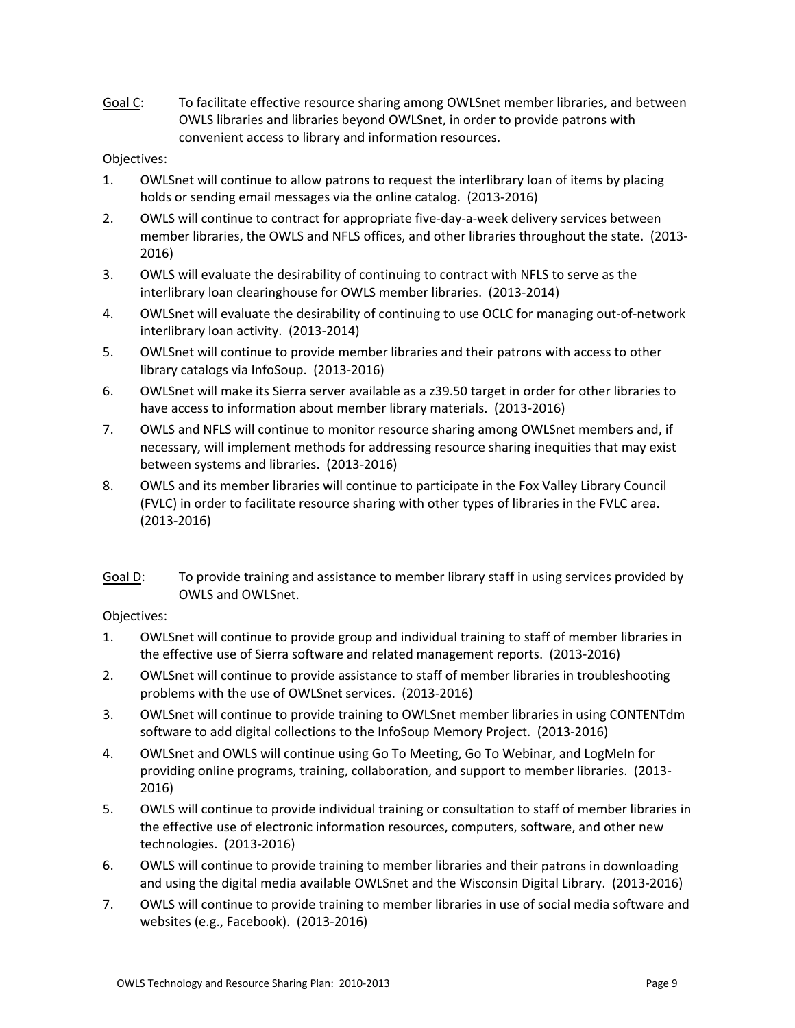Goal C: To facilitate effective resource sharing among OWLSnet member libraries, and between OWLS libraries and libraries beyond OWLSnet, in order to provide patrons with convenient access to library and information resources.

# Objectives:

- 1. OWLSnet will continue to allow patrons to request the interlibrary loan of items by placing holds or sending email messages via the online catalog. (2013‐2016)
- 2. OWLS will continue to contract for appropriate five-day-a-week delivery services between member libraries, the OWLS and NFLS offices, and other libraries throughout the state. (2013‐ 2016)
- 3. OWLS will evaluate the desirability of continuing to contract with NFLS to serve as the interlibrary loan clearinghouse for OWLS member libraries. (2013‐2014)
- 4. OWLSnet will evaluate the desirability of continuing to use OCLC for managing out-of-network interlibrary loan activity. (2013‐2014)
- 5. OWLSnet will continue to provide member libraries and their patrons with access to other library catalogs via InfoSoup. (2013‐2016)
- 6. OWLSnet will make its Sierra server available as a z39.50 target in order for other libraries to have access to information about member library materials. (2013‐2016)
- 7. OWLS and NFLS will continue to monitor resource sharing among OWLSnet members and, if necessary, will implement methods for addressing resource sharing inequities that may exist between systems and libraries. (2013‐2016)
- 8. OWLS and its member libraries will continue to participate in the Fox Valley Library Council (FVLC) in order to facilitate resource sharing with other types of libraries in the FVLC area. (2013‐2016)
- Goal D: To provide training and assistance to member library staff in using services provided by OWLS and OWLSnet.

# Objectives:

- 1. OWLSnet will continue to provide group and individual training to staff of member libraries in the effective use of Sierra software and related management reports. (2013‐2016)
- 2. OWLSnet will continue to provide assistance to staff of member libraries in troubleshooting problems with the use of OWLSnet services. (2013‐2016)
- 3. OWLSnet will continue to provide training to OWLSnet member libraries in using CONTENTdm software to add digital collections to the InfoSoup Memory Project. (2013‐2016)
- 4. OWLSnet and OWLS will continue using Go To Meeting, Go To Webinar, and LogMeIn for providing online programs, training, collaboration, and support to member libraries. (2013‐ 2016)
- 5. OWLS will continue to provide individual training or consultation to staff of member libraries in the effective use of electronic information resources, computers, software, and other new technologies. (2013‐2016)
- 6. OWLS will continue to provide training to member libraries and their patrons in downloading and using the digital media available OWLSnet and the Wisconsin Digital Library. (2013‐2016)
- 7. OWLS will continue to provide training to member libraries in use of social media software and websites (e.g., Facebook). (2013‐2016)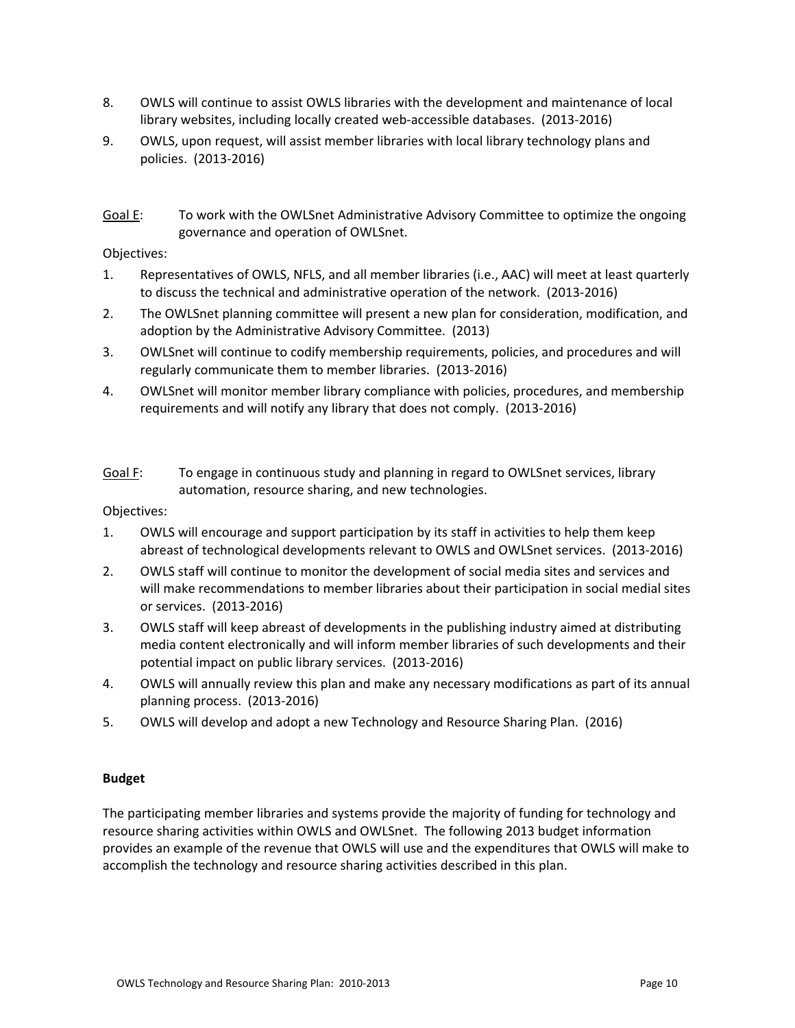- 8. OWLS will continue to assist OWLS libraries with the development and maintenance of local library websites, including locally created web‐accessible databases. (2013‐2016)
- 9. OWLS, upon request, will assist member libraries with local library technology plans and policies. (2013‐2016)
- Goal E: To work with the OWLSnet Administrative Advisory Committee to optimize the ongoing governance and operation of OWLSnet.

### Objectives:

- 1. Representatives of OWLS, NFLS, and all member libraries (i.e., AAC) will meet at least quarterly to discuss the technical and administrative operation of the network. (2013‐2016)
- 2. The OWLSnet planning committee will present a new plan for consideration, modification, and adoption by the Administrative Advisory Committee. (2013)
- 3. OWLSnet will continue to codify membership requirements, policies, and procedures and will regularly communicate them to member libraries. (2013‐2016)
- 4. OWLSnet will monitor member library compliance with policies, procedures, and membership requirements and will notify any library that does not comply. (2013‐2016)
- Goal F: To engage in continuous study and planning in regard to OWLSnet services, library automation, resource sharing, and new technologies.

Objectives:

- 1. OWLS will encourage and support participation by its staff in activities to help them keep abreast of technological developments relevant to OWLS and OWLSnet services. (2013‐2016)
- 2. OWLS staff will continue to monitor the development of social media sites and services and will make recommendations to member libraries about their participation in social medial sites or services. (2013‐2016)
- 3. OWLS staff will keep abreast of developments in the publishing industry aimed at distributing media content electronically and will inform member libraries of such developments and their potential impact on public library services. (2013‐2016)
- 4. OWLS will annually review this plan and make any necessary modifications as part of its annual planning process. (2013‐2016)
- 5. OWLS will develop and adopt a new Technology and Resource Sharing Plan. (2016)

### **Budget**

The participating member libraries and systems provide the majority of funding for technology and resource sharing activities within OWLS and OWLSnet. The following 2013 budget information provides an example of the revenue that OWLS will use and the expenditures that OWLS will make to accomplish the technology and resource sharing activities described in this plan.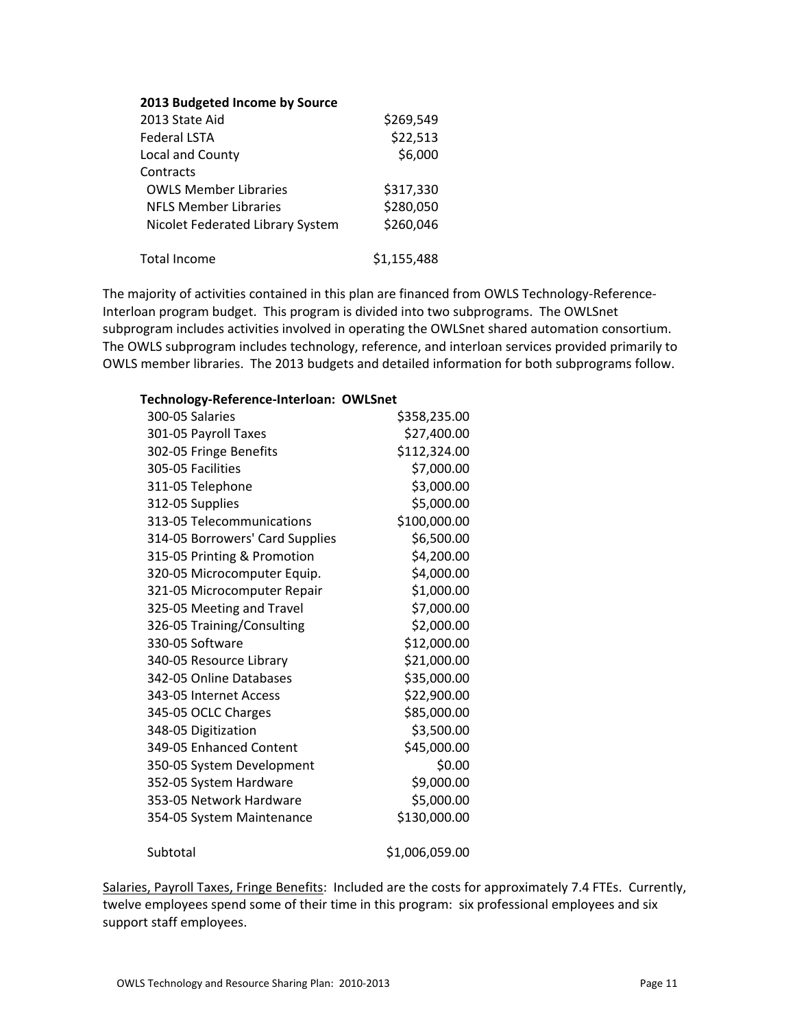### **2013 Budgeted Income by Source**

| 2013 State Aid                   | \$269,549   |
|----------------------------------|-------------|
| <b>Federal LSTA</b>              | \$22,513    |
| Local and County                 | \$6,000     |
| Contracts                        |             |
| <b>OWLS Member Libraries</b>     | \$317,330   |
| <b>NFLS Member Libraries</b>     | \$280,050   |
| Nicolet Federated Library System | \$260,046   |
| <b>Total Income</b>              | \$1,155,488 |

The majority of activities contained in this plan are financed from OWLS Technology-Reference-Interloan program budget. This program is divided into two subprograms. The OWLSnet subprogram includes activities involved in operating the OWLSnet shared automation consortium. The OWLS subprogram includes technology, reference, and interloan services provided primarily to OWLS member libraries. The 2013 budgets and detailed information for both subprograms follow.

### **Technology‐Reference‐Interloan: OWLSnet**

| 300-05 Salaries                 | \$358,235.00   |
|---------------------------------|----------------|
| 301-05 Payroll Taxes            | \$27,400.00    |
| 302-05 Fringe Benefits          | \$112,324.00   |
| 305-05 Facilities               | \$7,000.00     |
| 311-05 Telephone                | \$3,000.00     |
| 312-05 Supplies                 | \$5,000.00     |
| 313-05 Telecommunications       | \$100,000.00   |
| 314-05 Borrowers' Card Supplies | \$6,500.00     |
| 315-05 Printing & Promotion     | \$4,200.00     |
| 320-05 Microcomputer Equip.     | \$4,000.00     |
| 321-05 Microcomputer Repair     | \$1,000.00     |
| 325-05 Meeting and Travel       | \$7,000.00     |
| 326-05 Training/Consulting      | \$2,000.00     |
| 330-05 Software                 | \$12,000.00    |
| 340-05 Resource Library         | \$21,000.00    |
| 342-05 Online Databases         | \$35,000.00    |
| 343-05 Internet Access          | \$22,900.00    |
| 345-05 OCLC Charges             | \$85,000.00    |
| 348-05 Digitization             | \$3,500.00     |
| 349-05 Enhanced Content         | \$45,000.00    |
| 350-05 System Development       | \$0.00         |
| 352-05 System Hardware          | \$9,000.00     |
| 353-05 Network Hardware         | \$5,000.00     |
| 354-05 System Maintenance       | \$130,000.00   |
| Subtotal                        | \$1,006,059.00 |

Salaries, Payroll Taxes, Fringe Benefits: Included are the costs for approximately 7.4 FTEs. Currently, twelve employees spend some of their time in this program: six professional employees and six support staff employees.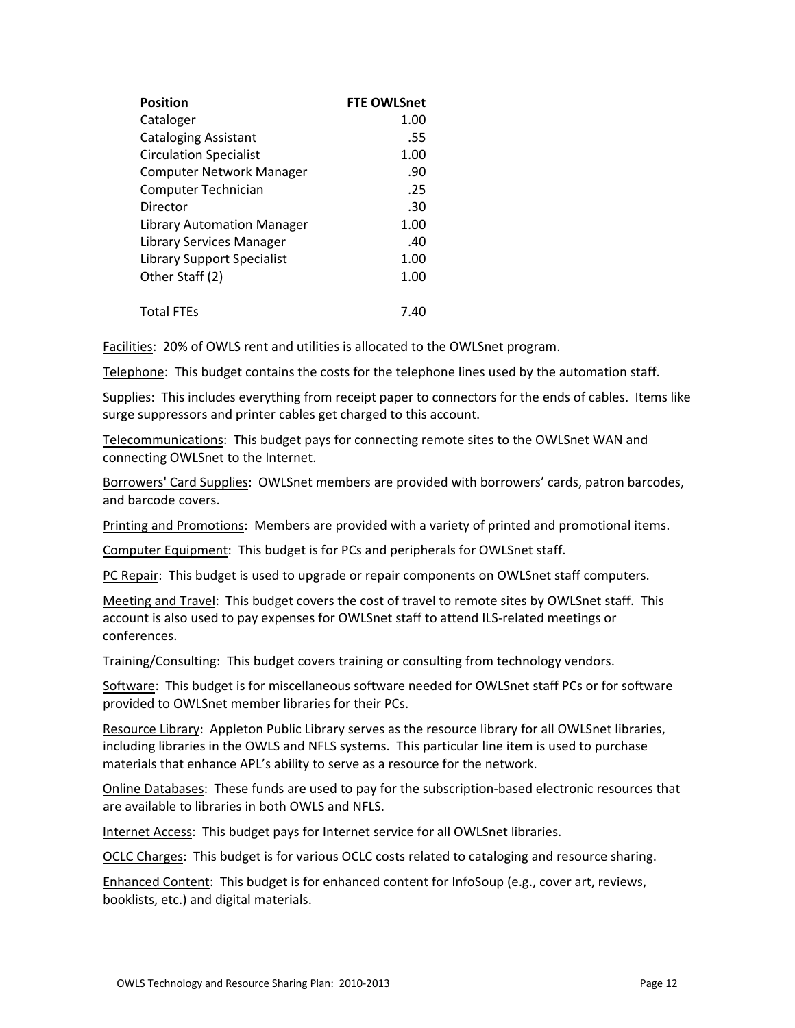| <b>Position</b>                 | <b>FTE OWLSnet</b> |
|---------------------------------|--------------------|
| Cataloger                       | 1.00               |
| <b>Cataloging Assistant</b>     | .55                |
| <b>Circulation Specialist</b>   | 1.00               |
| <b>Computer Network Manager</b> | .90                |
| Computer Technician             | .25                |
| Director                        | .30                |
| Library Automation Manager      | 1.00               |
| Library Services Manager        | .40                |
| Library Support Specialist      | 1.00               |
| Other Staff (2)                 | 1.00               |
| <b>Total FTEs</b>               | 7.40               |

Facilities: 20% of OWLS rent and utilities is allocated to the OWLSnet program.

Telephone: This budget contains the costs for the telephone lines used by the automation staff.

Supplies: This includes everything from receipt paper to connectors for the ends of cables. Items like surge suppressors and printer cables get charged to this account.

Telecommunications: This budget pays for connecting remote sites to the OWLSnet WAN and connecting OWLSnet to the Internet.

Borrowers' Card Supplies: OWLSnet members are provided with borrowers' cards, patron barcodes, and barcode covers.

Printing and Promotions: Members are provided with a variety of printed and promotional items.

Computer Equipment: This budget is for PCs and peripherals for OWLSnet staff.

PC Repair: This budget is used to upgrade or repair components on OWLSnet staff computers.

Meeting and Travel: This budget covers the cost of travel to remote sites by OWLSnet staff. This account is also used to pay expenses for OWLSnet staff to attend ILS‐related meetings or conferences.

Training/Consulting: This budget covers training or consulting from technology vendors.

Software: This budget is for miscellaneous software needed for OWLSnet staff PCs or for software provided to OWLSnet member libraries for their PCs.

Resource Library: Appleton Public Library serves as the resource library for all OWLSnet libraries, including libraries in the OWLS and NFLS systems. This particular line item is used to purchase materials that enhance APL's ability to serve as a resource for the network.

Online Databases: These funds are used to pay for the subscription‐based electronic resources that are available to libraries in both OWLS and NFLS.

Internet Access: This budget pays for Internet service for all OWLSnet libraries.

OCLC Charges: This budget is for various OCLC costs related to cataloging and resource sharing.

Enhanced Content: This budget is for enhanced content for InfoSoup (e.g., cover art, reviews, booklists, etc.) and digital materials.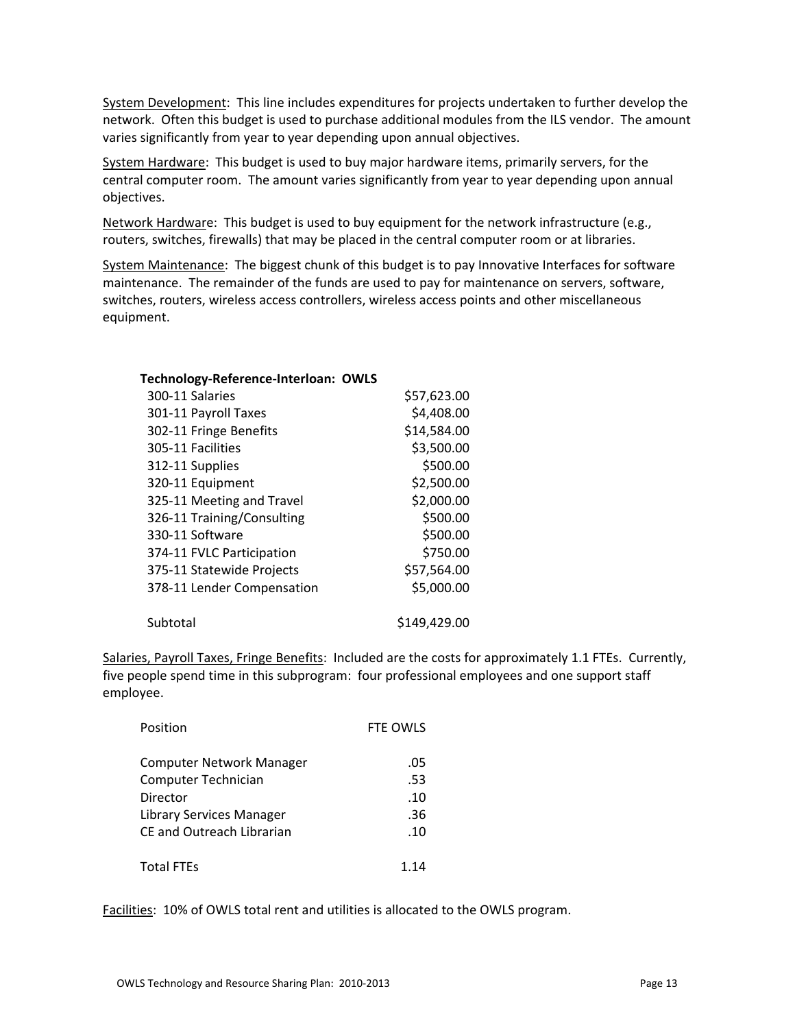System Development: This line includes expenditures for projects undertaken to further develop the network. Often this budget is used to purchase additional modules from the ILS vendor. The amount varies significantly from year to year depending upon annual objectives.

System Hardware: This budget is used to buy major hardware items, primarily servers, for the central computer room. The amount varies significantly from year to year depending upon annual objectives.

Network Hardware: This budget is used to buy equipment for the network infrastructure (e.g., routers, switches, firewalls) that may be placed in the central computer room or at libraries.

System Maintenance: The biggest chunk of this budget is to pay Innovative Interfaces for software maintenance. The remainder of the funds are used to pay for maintenance on servers, software, switches, routers, wireless access controllers, wireless access points and other miscellaneous equipment.

| Technology-Reference-Interloan: OWLS |              |
|--------------------------------------|--------------|
| 300-11 Salaries                      | \$57,623.00  |
| 301-11 Payroll Taxes                 | \$4,408.00   |
| 302-11 Fringe Benefits               | \$14,584.00  |
| 305-11 Facilities                    | \$3,500.00   |
| 312-11 Supplies                      | \$500.00     |
| 320-11 Equipment                     | \$2,500.00   |
| 325-11 Meeting and Travel            | \$2,000.00   |
| 326-11 Training/Consulting           | \$500.00     |
| 330-11 Software                      | \$500.00     |
| 374-11 FVLC Participation            | \$750.00     |
| 375-11 Statewide Projects            | \$57,564.00  |
| 378-11 Lender Compensation           | \$5,000.00   |
| Subtotal                             | \$149,429.00 |

Salaries, Payroll Taxes, Fringe Benefits: Included are the costs for approximately 1.1 FTEs. Currently, five people spend time in this subprogram: four professional employees and one support staff employee.

| Position                        | FTE OWLS |
|---------------------------------|----------|
| <b>Computer Network Manager</b> | .05      |
| Computer Technician             | .53      |
| Director                        | .10      |
| <b>Library Services Manager</b> | .36      |
| CF and Outreach Librarian       | .10      |
| <b>Total FTEs</b>               | 114      |

Facilities: 10% of OWLS total rent and utilities is allocated to the OWLS program.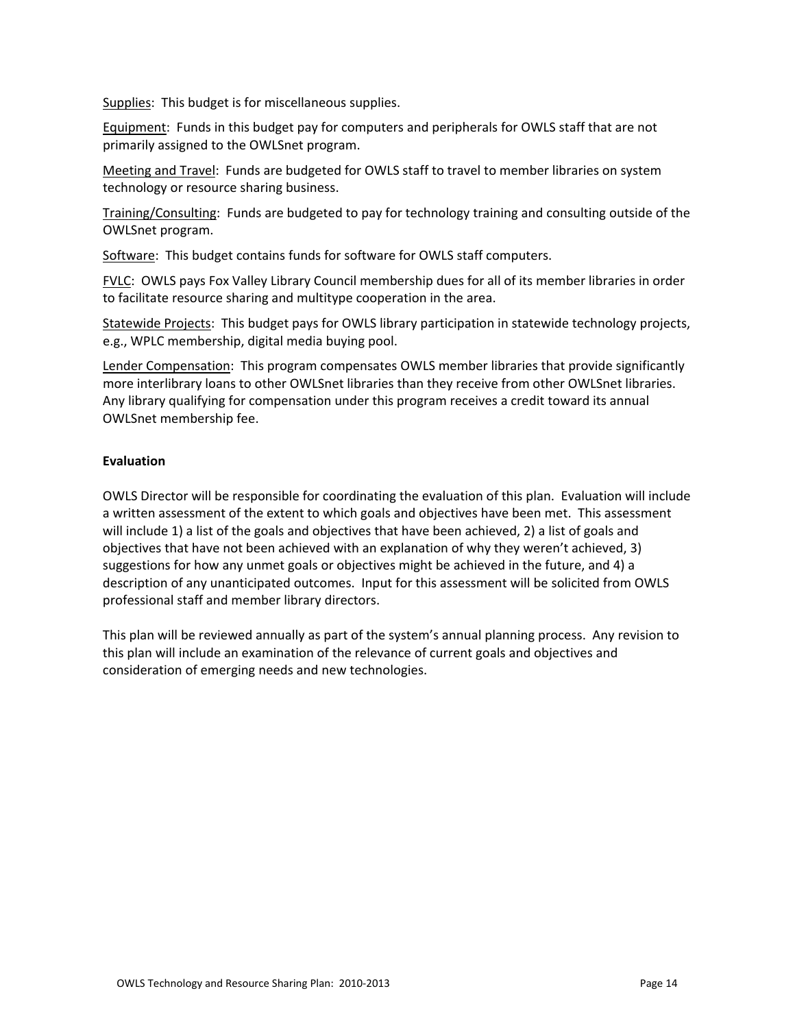Supplies: This budget is for miscellaneous supplies.

Equipment: Funds in this budget pay for computers and peripherals for OWLS staff that are not primarily assigned to the OWLSnet program.

Meeting and Travel: Funds are budgeted for OWLS staff to travel to member libraries on system technology or resource sharing business.

Training/Consulting: Funds are budgeted to pay for technology training and consulting outside of the OWLSnet program.

Software: This budget contains funds for software for OWLS staff computers.

FVLC: OWLS pays Fox Valley Library Council membership dues for all of its member libraries in order to facilitate resource sharing and multitype cooperation in the area.

Statewide Projects: This budget pays for OWLS library participation in statewide technology projects, e.g., WPLC membership, digital media buying pool.

Lender Compensation: This program compensates OWLS member libraries that provide significantly more interlibrary loans to other OWLSnet libraries than they receive from other OWLSnet libraries. Any library qualifying for compensation under this program receives a credit toward its annual OWLSnet membership fee.

# **Evaluation**

OWLS Director will be responsible for coordinating the evaluation of this plan. Evaluation will include a written assessment of the extent to which goals and objectives have been met. This assessment will include 1) a list of the goals and objectives that have been achieved, 2) a list of goals and objectives that have not been achieved with an explanation of why they weren't achieved, 3) suggestions for how any unmet goals or objectives might be achieved in the future, and 4) a description of any unanticipated outcomes. Input for this assessment will be solicited from OWLS professional staff and member library directors.

This plan will be reviewed annually as part of the system's annual planning process. Any revision to this plan will include an examination of the relevance of current goals and objectives and consideration of emerging needs and new technologies.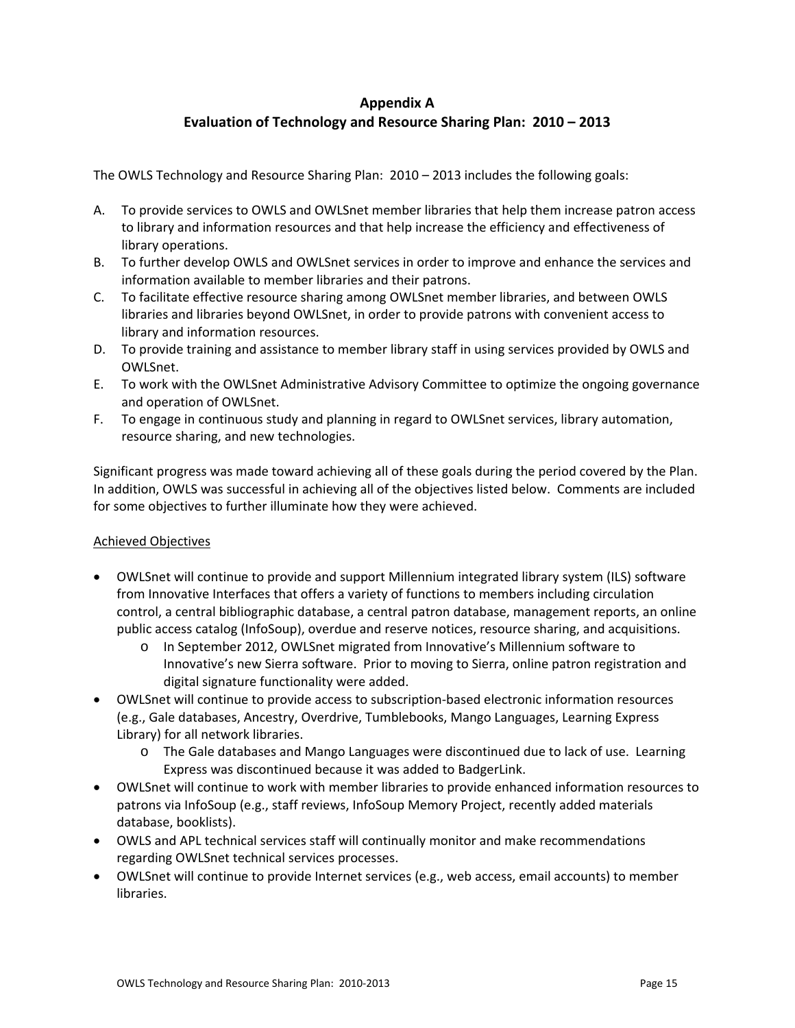# **Appendix A Evaluation of Technology and Resource Sharing Plan: 2010 – 2013**

The OWLS Technology and Resource Sharing Plan: 2010 – 2013 includes the following goals:

- A. To provide services to OWLS and OWLSnet member libraries that help them increase patron access to library and information resources and that help increase the efficiency and effectiveness of library operations.
- B. To further develop OWLS and OWLSnet services in order to improve and enhance the services and information available to member libraries and their patrons.
- C. To facilitate effective resource sharing among OWLSnet member libraries, and between OWLS libraries and libraries beyond OWLSnet, in order to provide patrons with convenient access to library and information resources.
- D. To provide training and assistance to member library staff in using services provided by OWLS and OWLSnet.
- E. To work with the OWLSnet Administrative Advisory Committee to optimize the ongoing governance and operation of OWLSnet.
- F. To engage in continuous study and planning in regard to OWLSnet services, library automation, resource sharing, and new technologies.

Significant progress was made toward achieving all of these goals during the period covered by the Plan. In addition, OWLS was successful in achieving all of the objectives listed below. Comments are included for some objectives to further illuminate how they were achieved.

# Achieved Objectives

- OWLSnet will continue to provide and support Millennium integrated library system (ILS) software from Innovative Interfaces that offers a variety of functions to members including circulation control, a central bibliographic database, a central patron database, management reports, an online public access catalog (InfoSoup), overdue and reserve notices, resource sharing, and acquisitions.
	- o In September 2012, OWLSnet migrated from Innovative's Millennium software to Innovative's new Sierra software. Prior to moving to Sierra, online patron registration and digital signature functionality were added.
- OWLSnet will continue to provide access to subscription‐based electronic information resources (e.g., Gale databases, Ancestry, Overdrive, Tumblebooks, Mango Languages, Learning Express Library) for all network libraries.
	- o The Gale databases and Mango Languages were discontinued due to lack of use. Learning Express was discontinued because it was added to BadgerLink.
- OWLSnet will continue to work with member libraries to provide enhanced information resources to patrons via InfoSoup (e.g., staff reviews, InfoSoup Memory Project, recently added materials database, booklists).
- OWLS and APL technical services staff will continually monitor and make recommendations regarding OWLSnet technical services processes.
- OWLSnet will continue to provide Internet services (e.g., web access, email accounts) to member libraries.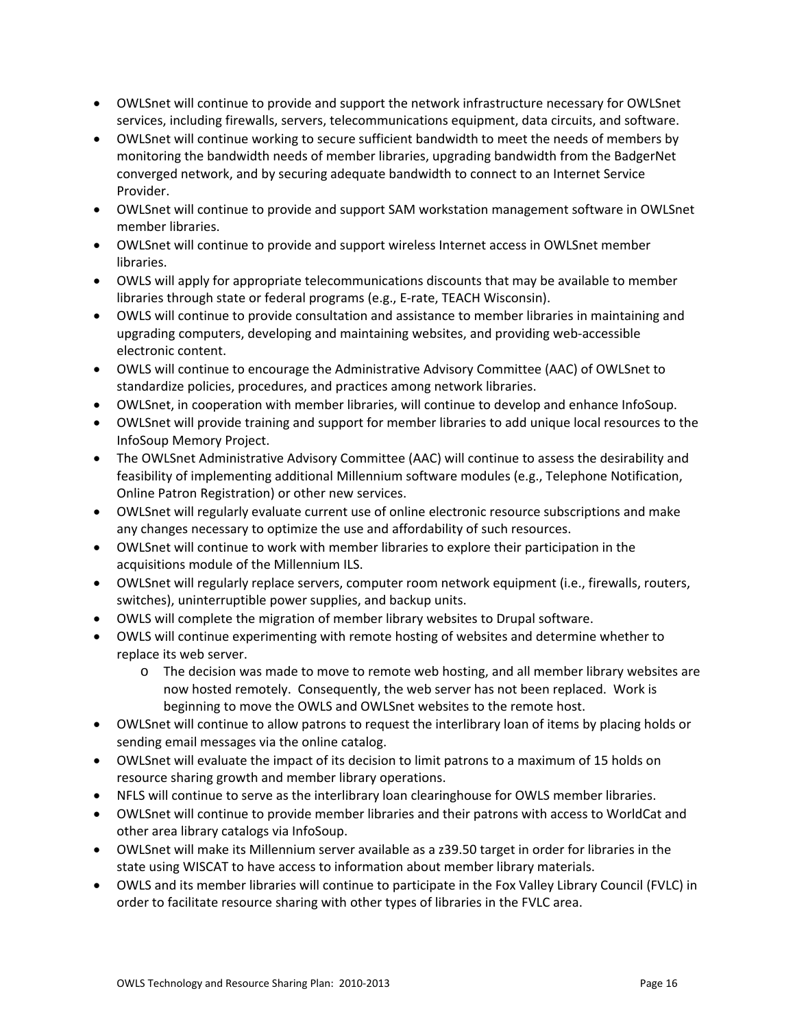- OWLSnet will continue to provide and support the network infrastructure necessary for OWLSnet services, including firewalls, servers, telecommunications equipment, data circuits, and software.
- OWLSnet will continue working to secure sufficient bandwidth to meet the needs of members by monitoring the bandwidth needs of member libraries, upgrading bandwidth from the BadgerNet converged network, and by securing adequate bandwidth to connect to an Internet Service Provider.
- OWLSnet will continue to provide and support SAM workstation management software in OWLSnet member libraries.
- OWLSnet will continue to provide and support wireless Internet access in OWLSnet member libraries.
- OWLS will apply for appropriate telecommunications discounts that may be available to member libraries through state or federal programs (e.g., E‐rate, TEACH Wisconsin).
- OWLS will continue to provide consultation and assistance to member libraries in maintaining and upgrading computers, developing and maintaining websites, and providing web‐accessible electronic content.
- OWLS will continue to encourage the Administrative Advisory Committee (AAC) of OWLSnet to standardize policies, procedures, and practices among network libraries.
- OWLSnet, in cooperation with member libraries, will continue to develop and enhance InfoSoup.
- OWLSnet will provide training and support for member libraries to add unique local resources to the InfoSoup Memory Project.
- The OWLSnet Administrative Advisory Committee (AAC) will continue to assess the desirability and feasibility of implementing additional Millennium software modules (e.g., Telephone Notification, Online Patron Registration) or other new services.
- OWLSnet will regularly evaluate current use of online electronic resource subscriptions and make any changes necessary to optimize the use and affordability of such resources.
- OWLSnet will continue to work with member libraries to explore their participation in the acquisitions module of the Millennium ILS.
- OWLSnet will regularly replace servers, computer room network equipment (i.e., firewalls, routers, switches), uninterruptible power supplies, and backup units.
- OWLS will complete the migration of member library websites to Drupal software.
- OWLS will continue experimenting with remote hosting of websites and determine whether to replace its web server.
	- o The decision was made to move to remote web hosting, and all member library websites are now hosted remotely. Consequently, the web server has not been replaced. Work is beginning to move the OWLS and OWLSnet websites to the remote host.
- OWLSnet will continue to allow patrons to request the interlibrary loan of items by placing holds or sending email messages via the online catalog.
- OWLSnet will evaluate the impact of its decision to limit patrons to a maximum of 15 holds on resource sharing growth and member library operations.
- NFLS will continue to serve as the interlibrary loan clearinghouse for OWLS member libraries.
- OWLSnet will continue to provide member libraries and their patrons with access to WorldCat and other area library catalogs via InfoSoup.
- OWLSnet will make its Millennium server available as a z39.50 target in order for libraries in the state using WISCAT to have access to information about member library materials.
- OWLS and its member libraries will continue to participate in the Fox Valley Library Council (FVLC) in order to facilitate resource sharing with other types of libraries in the FVLC area.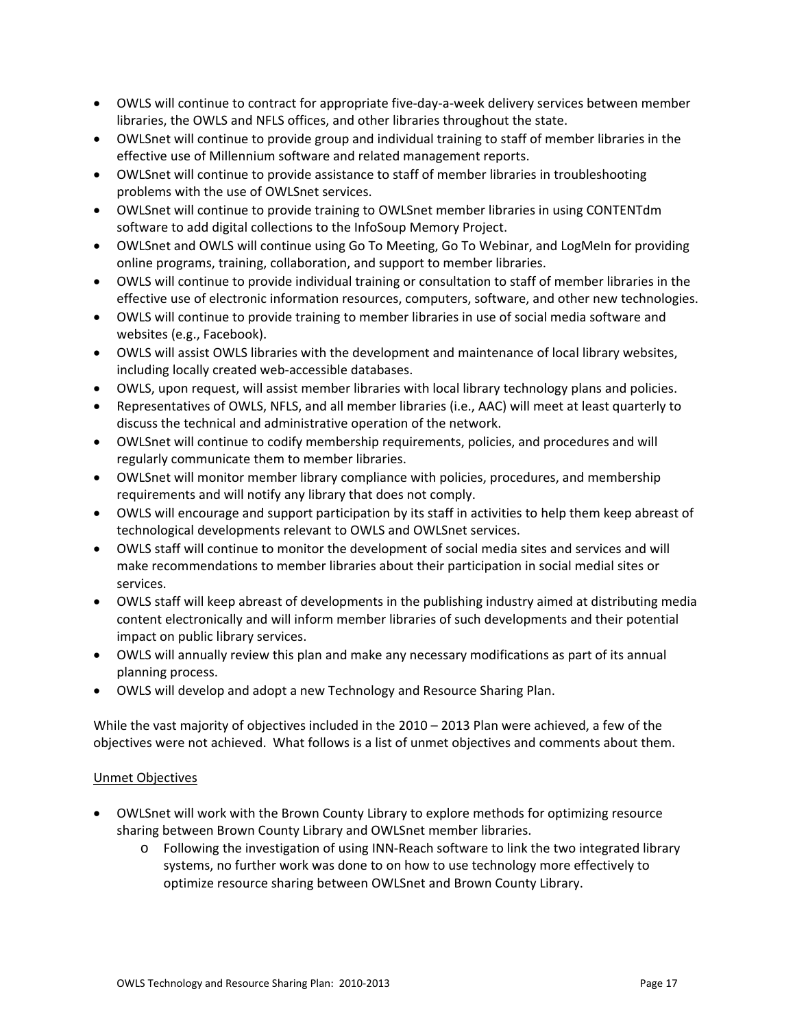- OWLS will continue to contract for appropriate five-day-a-week delivery services between member libraries, the OWLS and NFLS offices, and other libraries throughout the state.
- OWLSnet will continue to provide group and individual training to staff of member libraries in the effective use of Millennium software and related management reports.
- OWLSnet will continue to provide assistance to staff of member libraries in troubleshooting problems with the use of OWLSnet services.
- OWLSnet will continue to provide training to OWLSnet member libraries in using CONTENTdm software to add digital collections to the InfoSoup Memory Project.
- OWLSnet and OWLS will continue using Go To Meeting, Go To Webinar, and LogMeIn for providing online programs, training, collaboration, and support to member libraries.
- OWLS will continue to provide individual training or consultation to staff of member libraries in the effective use of electronic information resources, computers, software, and other new technologies.
- OWLS will continue to provide training to member libraries in use of social media software and websites (e.g., Facebook).
- OWLS will assist OWLS libraries with the development and maintenance of local library websites, including locally created web‐accessible databases.
- OWLS, upon request, will assist member libraries with local library technology plans and policies.
- Representatives of OWLS, NFLS, and all member libraries (i.e., AAC) will meet at least quarterly to discuss the technical and administrative operation of the network.
- OWLSnet will continue to codify membership requirements, policies, and procedures and will regularly communicate them to member libraries.
- OWLSnet will monitor member library compliance with policies, procedures, and membership requirements and will notify any library that does not comply.
- OWLS will encourage and support participation by its staff in activities to help them keep abreast of technological developments relevant to OWLS and OWLSnet services.
- OWLS staff will continue to monitor the development of social media sites and services and will make recommendations to member libraries about their participation in social medial sites or services.
- OWLS staff will keep abreast of developments in the publishing industry aimed at distributing media content electronically and will inform member libraries of such developments and their potential impact on public library services.
- OWLS will annually review this plan and make any necessary modifications as part of its annual planning process.
- OWLS will develop and adopt a new Technology and Resource Sharing Plan.

While the vast majority of objectives included in the 2010 – 2013 Plan were achieved, a few of the objectives were not achieved. What follows is a list of unmet objectives and comments about them.

# Unmet Objectives

- OWLSnet will work with the Brown County Library to explore methods for optimizing resource sharing between Brown County Library and OWLSnet member libraries.
	- o Following the investigation of using INN‐Reach software to link the two integrated library systems, no further work was done to on how to use technology more effectively to optimize resource sharing between OWLSnet and Brown County Library.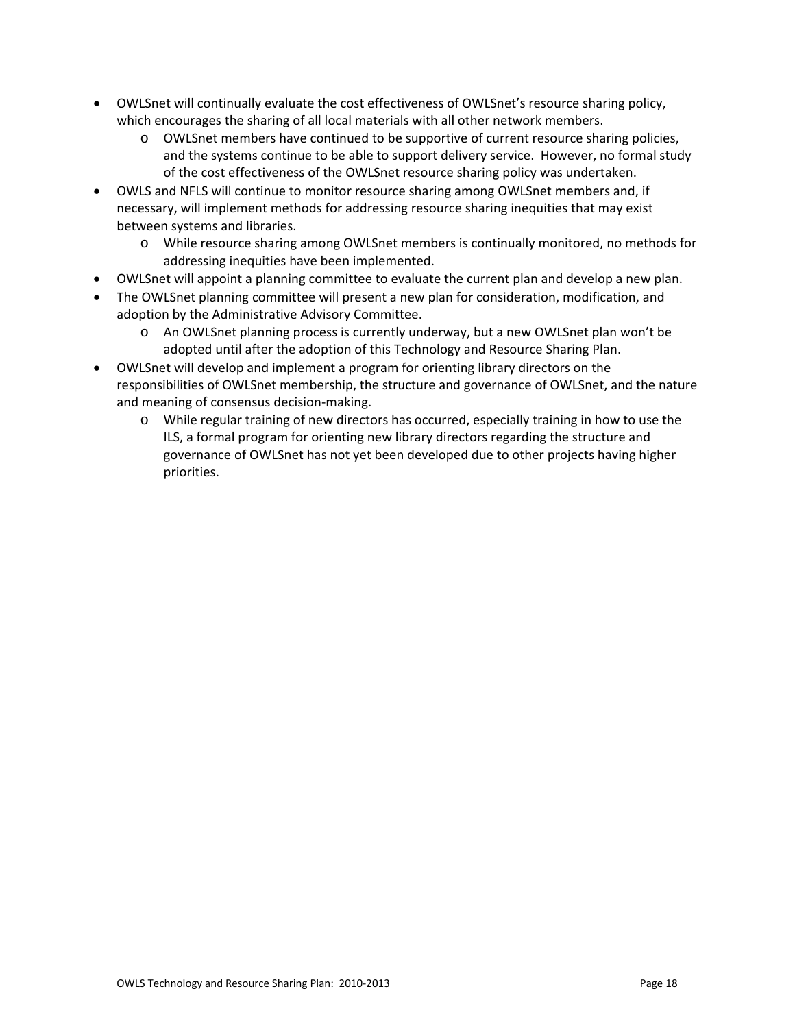- OWLSnet will continually evaluate the cost effectiveness of OWLSnet's resource sharing policy, which encourages the sharing of all local materials with all other network members.
	- o OWLSnet members have continued to be supportive of current resource sharing policies, and the systems continue to be able to support delivery service. However, no formal study of the cost effectiveness of the OWLSnet resource sharing policy was undertaken.
- OWLS and NFLS will continue to monitor resource sharing among OWLSnet members and, if necessary, will implement methods for addressing resource sharing inequities that may exist between systems and libraries.
	- o While resource sharing among OWLSnet members is continually monitored, no methods for addressing inequities have been implemented.
- OWLSnet will appoint a planning committee to evaluate the current plan and develop a new plan.
- The OWLSnet planning committee will present a new plan for consideration, modification, and adoption by the Administrative Advisory Committee.
	- o An OWLSnet planning process is currently underway, but a new OWLSnet plan won't be adopted until after the adoption of this Technology and Resource Sharing Plan.
- OWLSnet will develop and implement a program for orienting library directors on the responsibilities of OWLSnet membership, the structure and governance of OWLSnet, and the nature and meaning of consensus decision‐making.
	- o While regular training of new directors has occurred, especially training in how to use the ILS, a formal program for orienting new library directors regarding the structure and governance of OWLSnet has not yet been developed due to other projects having higher priorities.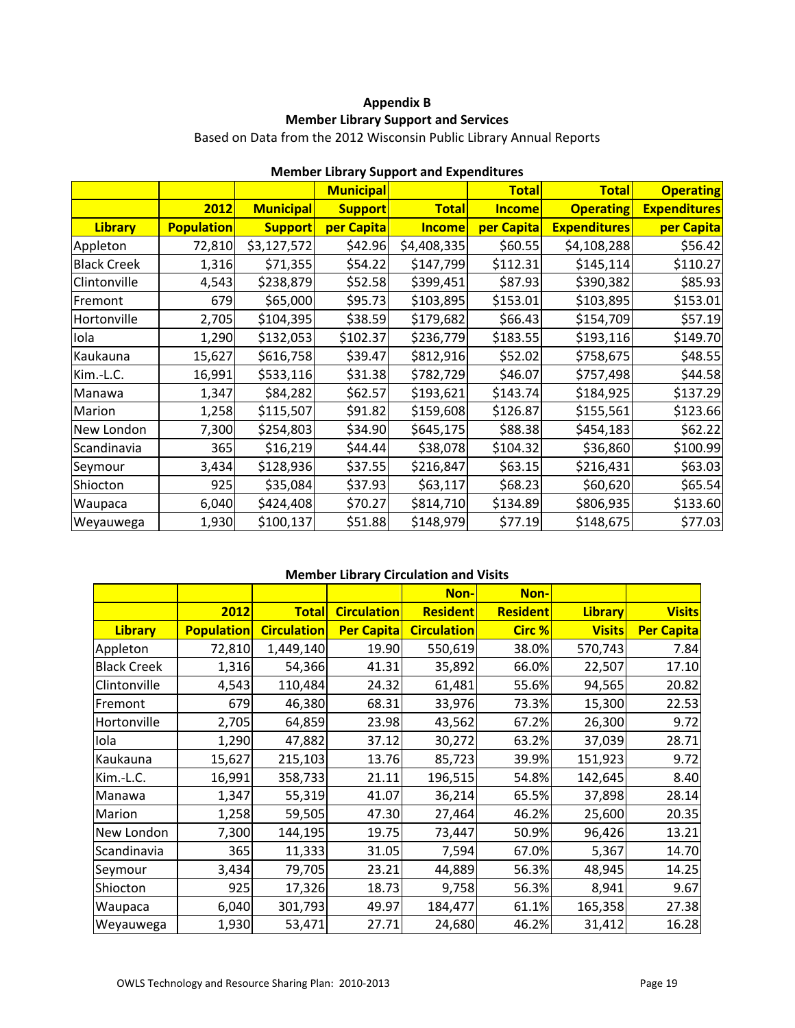# **Appendix B Member Library Support and Services**

Based on Data from the 2012 Wisconsin Public Library Annual Reports

|                    |                   |                  | <b>Municipal</b> | Member Eibrary Support and Experientates | <b>Total</b>  | <b>Total</b>        | <b>Operating</b>    |
|--------------------|-------------------|------------------|------------------|------------------------------------------|---------------|---------------------|---------------------|
|                    | 2012              | <b>Municipal</b> | <b>Support</b>   | <b>Total</b>                             | <b>Income</b> | <b>Operating</b>    | <b>Expenditures</b> |
| <b>Library</b>     | <b>Population</b> | <b>Support</b>   | per Capita       | <b>Income</b>                            | per Capita    | <b>Expenditures</b> | per Capita          |
| Appleton           | 72,810            | \$3,127,572      | \$42.96          | \$4,408,335                              | \$60.55       | \$4,108,288         | \$56.42             |
| <b>Black Creek</b> | 1,316             | \$71,355         | \$54.22          | \$147,799                                | \$112.31      | \$145,114           | \$110.27            |
| Clintonville       | 4,543             | \$238,879        | \$52.58          | \$399,451                                | \$87.93       | \$390,382           | \$85.93             |
| Fremont            | 679               | \$65,000         | \$95.73          | \$103,895                                | \$153.01      | \$103,895           | \$153.01            |
| Hortonville        | 2,705             | \$104,395        | \$38.59          | \$179,682                                | \$66.43       | \$154,709           | \$57.19             |
| Iola               | 1,290             | \$132,053        | \$102.37         | \$236,779                                | \$183.55      | \$193,116           | \$149.70            |
| Kaukauna           | 15,627            | \$616,758        | \$39.47          | \$812,916                                | \$52.02       | \$758,675           | \$48.55             |
| Kim.-L.C.          | 16,991            | \$533,116        | \$31.38          | \$782,729                                | \$46.07       | \$757,498           | \$44.58             |
| Manawa             | 1,347             | \$84,282         | \$62.57          | \$193,621                                | \$143.74      | \$184,925           | \$137.29            |
| Marion             | 1,258             | \$115,507        | \$91.82          | \$159,608                                | \$126.87      | \$155,561           | \$123.66            |
| New London         | 7,300             | \$254,803        | \$34.90          | \$645,175                                | \$88.38       | \$454,183           | \$62.22             |
| Scandinavia        | 365               | \$16,219         | \$44.44          | \$38,078                                 | \$104.32      | \$36,860            | \$100.99            |
| Seymour            | 3,434             | \$128,936        | \$37.55          | \$216,847                                | \$63.15       | \$216,431           | \$63.03             |
| Shiocton           | 925               | \$35,084         | \$37.93          | \$63,117                                 | \$68.23       | \$60,620            | \$65.54             |
| Waupaca            | 6,040             | \$424,408        | \$70.27          | \$814,710                                | \$134.89      | \$806,935           | \$133.60            |
| Weyauwega          | 1,930             | \$100,137        | \$51.88          | \$148,979                                | \$77.19       | \$148,675           | \$77.03             |

# **Member Library Support and Expenditures**

# **Member Library Circulation and Visits**

|                    |                   |                    |                    | Non-               | Non-            |                |                   |
|--------------------|-------------------|--------------------|--------------------|--------------------|-----------------|----------------|-------------------|
|                    | 2012              | <b>Total</b>       | <b>Circulation</b> | <b>Resident</b>    | <b>Resident</b> | <b>Library</b> | <b>Visits</b>     |
| <b>Library</b>     | <b>Population</b> | <b>Circulation</b> | <b>Per Capita</b>  | <b>Circulation</b> | <b>Circ %</b>   | <b>Visits</b>  | <b>Per Capita</b> |
| Appleton           | 72,810            | 1,449,140          | 19.90              | 550,619            | 38.0%           | 570,743        | 7.84              |
| <b>Black Creek</b> | 1,316             | 54,366             | 41.31              | 35,892             | 66.0%           | 22,507         | 17.10             |
| Clintonville       | 4,543             | 110,484            | 24.32              | 61,481             | 55.6%           | 94,565         | 20.82             |
| Fremont            | 679               | 46,380             | 68.31              | 33,976             | 73.3%           | 15,300         | 22.53             |
| Hortonville        | 2,705             | 64,859             | 23.98              | 43,562             | 67.2%           | 26,300         | 9.72              |
| Iola               | 1,290             | 47,882             | 37.12              | 30,272             | 63.2%           | 37,039         | 28.71             |
| Kaukauna           | 15,627            | 215,103            | 13.76              | 85,723             | 39.9%           | 151,923        | 9.72              |
| Kim.-L.C.          | 16,991            | 358,733            | 21.11              | 196,515            | 54.8%           | 142,645        | 8.40              |
| Manawa             | 1,347             | 55,319             | 41.07              | 36,214             | 65.5%           | 37,898         | 28.14             |
| Marion             | 1,258             | 59,505             | 47.30              | 27,464             | 46.2%           | 25,600         | 20.35             |
| New London         | 7,300             | 144,195            | 19.75              | 73,447             | 50.9%           | 96,426         | 13.21             |
| Scandinavia        | 365               | 11,333             | 31.05              | 7,594              | 67.0%           | 5,367          | 14.70             |
| Seymour            | 3,434             | 79,705             | 23.21              | 44,889             | 56.3%           | 48,945         | 14.25             |
| Shiocton           | 925               | 17,326             | 18.73              | 9,758              | 56.3%           | 8,941          | 9.67              |
| Waupaca            | 6,040             | 301,793            | 49.97              | 184,477            | 61.1%           | 165,358        | 27.38             |
| Weyauwega          | 1,930             | 53,471             | 27.71              | 24,680             | 46.2%           | 31,412         | 16.28             |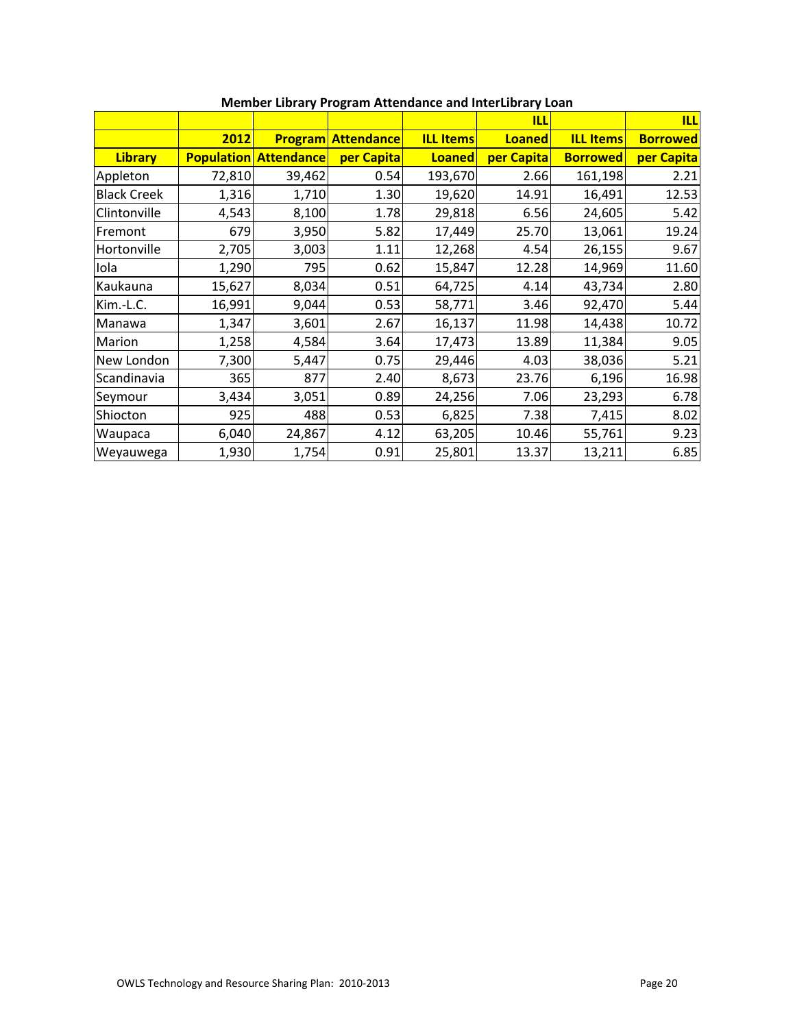|                    |        |                              |                           |                  | <b>ILL</b>    |                  | <b>ILL</b>      |
|--------------------|--------|------------------------------|---------------------------|------------------|---------------|------------------|-----------------|
|                    | 2012   |                              | <b>Program Attendance</b> | <b>ILL Items</b> | <b>Loaned</b> | <b>ILL Items</b> | <b>Borrowed</b> |
| <b>Library</b>     |        | <b>Population Attendance</b> | per Capita                | <b>Loaned</b>    | per Capita    | <b>Borrowed</b>  | per Capita      |
| Appleton           | 72,810 | 39,462                       | 0.54                      | 193,670          | 2.66          | 161,198          | 2.21            |
| <b>Black Creek</b> | 1,316  | 1,710                        | 1.30                      | 19,620           | 14.91         | 16,491           | 12.53           |
| Clintonville       | 4,543  | 8,100                        | 1.78                      | 29,818           | 6.56          | 24,605           | 5.42            |
| Fremont            | 679    | 3,950                        | 5.82                      | 17,449           | 25.70         | 13,061           | 19.24           |
| Hortonville        | 2,705  | 3,003                        | 1.11                      | 12,268           | 4.54          | 26,155           | 9.67            |
| Iola               | 1,290  | 795                          | 0.62                      | 15,847           | 12.28         | 14,969           | 11.60           |
| Kaukauna           | 15,627 | 8,034                        | 0.51                      | 64,725           | 4.14          | 43,734           | 2.80            |
| Kim.-L.C.          | 16,991 | 9,044                        | 0.53                      | 58,771           | 3.46          | 92,470           | 5.44            |
| Manawa             | 1,347  | 3,601                        | 2.67                      | 16,137           | 11.98         | 14,438           | 10.72           |
| Marion             | 1,258  | 4,584                        | 3.64                      | 17,473           | 13.89         | 11,384           | 9.05            |
| New London         | 7,300  | 5,447                        | 0.75                      | 29,446           | 4.03          | 38,036           | 5.21            |
| Scandinavia        | 365    | 877                          | 2.40                      | 8,673            | 23.76         | 6,196            | 16.98           |
| Seymour            | 3,434  | 3,051                        | 0.89                      | 24,256           | 7.06          | 23,293           | 6.78            |
| Shiocton           | 925    | 488                          | 0.53                      | 6,825            | 7.38          | 7,415            | 8.02            |
| Waupaca            | 6,040  | 24,867                       | 4.12                      | 63,205           | 10.46         | 55,761           | 9.23            |
| Weyauwega          | 1,930  | 1,754                        | 0.91                      | 25,801           | 13.37         | 13,211           | 6.85            |

# **Member Library Program Attendance and InterLibrary Loan**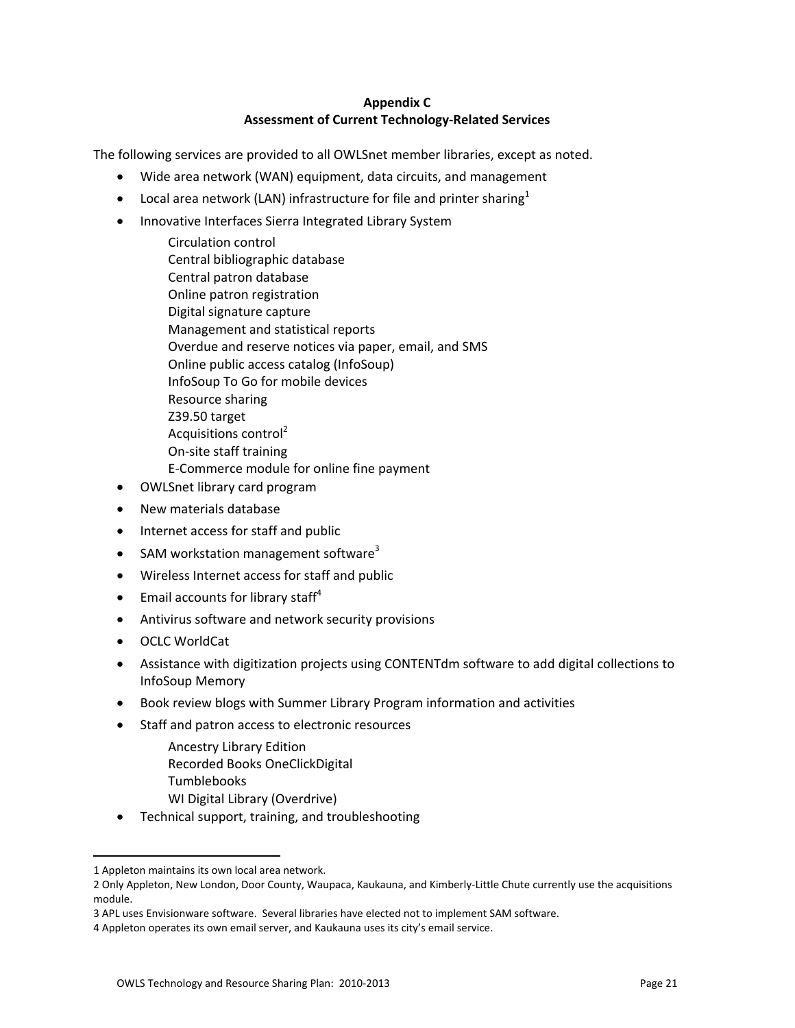# **Appendix C Assessment of Current Technology‐Related Services**

The following services are provided to all OWLSnet member libraries, except as noted.

- Wide area network (WAN) equipment, data circuits, and management
- Local area network (LAN) infrastructure for file and printer sharing<sup>1</sup>
- Innovative Interfaces Sierra Integrated Library System
	- Circulation control Central bibliographic database Central patron database Online patron registration Digital signature capture Management and statistical reports Overdue and reserve notices via paper, email, and SMS Online public access catalog (InfoSoup) InfoSoup To Go for mobile devices Resource sharing Z39.50 target Acquisitions control<sup>2</sup> On‐site staff training E‐Commerce module for online fine payment
- OWLSnet library card program
- New materials database
- Internet access for staff and public
- $\bullet$  SAM workstation management software<sup>3</sup>
- Wireless Internet access for staff and public
- **Email accounts for library staff**<sup>4</sup>
- Antivirus software and network security provisions
- OCLC WorldCat
- Assistance with digitization projects using CONTENTdm software to add digital collections to InfoSoup Memory
- Book review blogs with Summer Library Program information and activities
- Staff and patron access to electronic resources
	- Ancestry Library Edition Recorded Books OneClickDigital Tumblebooks WI Digital Library (Overdrive)
- Technical support, training, and troubleshooting

 $\overline{a}$ 

<sup>1</sup> Appleton maintains its own local area network.

<sup>2</sup> Only Appleton, New London, Door County, Waupaca, Kaukauna, and Kimberly‐Little Chute currently use the acquisitions module.

<sup>3</sup> APL uses Envisionware software. Several libraries have elected not to implement SAM software.

<sup>4</sup> Appleton operates its own email server, and Kaukauna uses its city's email service.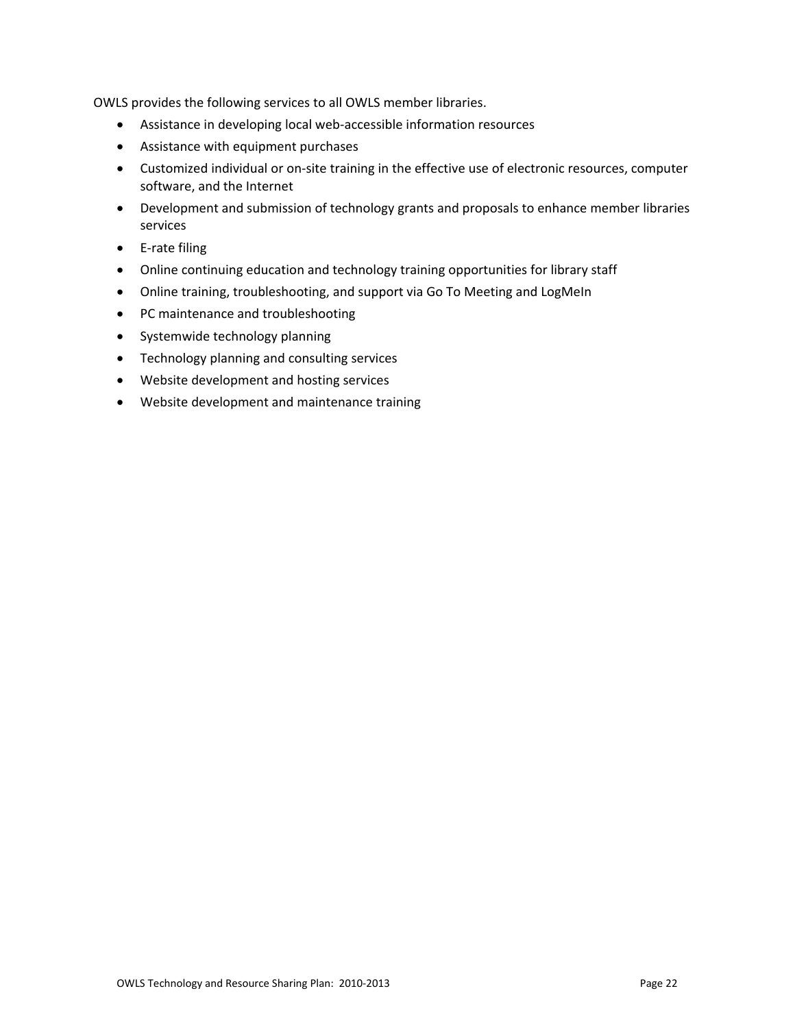OWLS provides the following services to all OWLS member libraries.

- Assistance in developing local web-accessible information resources
- Assistance with equipment purchases
- Customized individual or on‐site training in the effective use of electronic resources, computer software, and the Internet
- Development and submission of technology grants and proposals to enhance member libraries services
- E‐rate filing
- Online continuing education and technology training opportunities for library staff
- Online training, troubleshooting, and support via Go To Meeting and LogMeIn
- PC maintenance and troubleshooting
- Systemwide technology planning
- Technology planning and consulting services
- Website development and hosting services
- Website development and maintenance training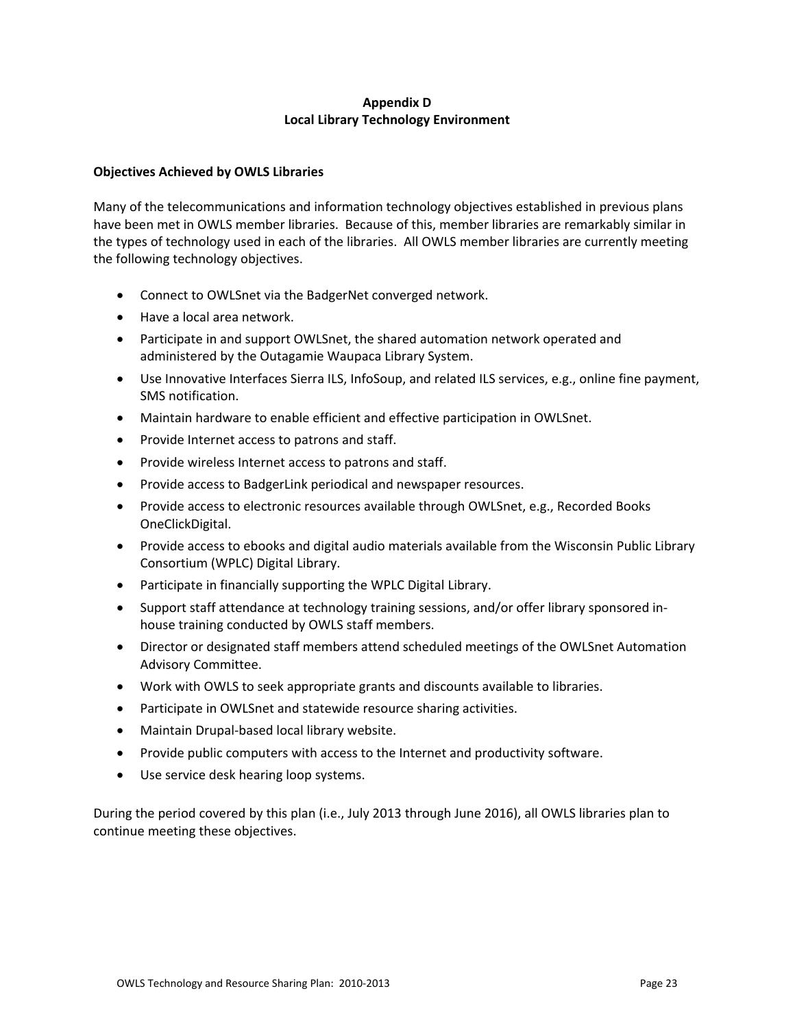# **Appendix D Local Library Technology Environment**

### **Objectives Achieved by OWLS Libraries**

Many of the telecommunications and information technology objectives established in previous plans have been met in OWLS member libraries. Because of this, member libraries are remarkably similar in the types of technology used in each of the libraries. All OWLS member libraries are currently meeting the following technology objectives.

- Connect to OWLSnet via the BadgerNet converged network.
- Have a local area network.
- Participate in and support OWLSnet, the shared automation network operated and administered by the Outagamie Waupaca Library System.
- Use Innovative Interfaces Sierra ILS, InfoSoup, and related ILS services, e.g., online fine payment, SMS notification.
- Maintain hardware to enable efficient and effective participation in OWLSnet.
- Provide Internet access to patrons and staff.
- Provide wireless Internet access to patrons and staff.
- Provide access to BadgerLink periodical and newspaper resources.
- Provide access to electronic resources available through OWLSnet, e.g., Recorded Books OneClickDigital.
- Provide access to ebooks and digital audio materials available from the Wisconsin Public Library Consortium (WPLC) Digital Library.
- Participate in financially supporting the WPLC Digital Library.
- Support staff attendance at technology training sessions, and/or offer library sponsored inhouse training conducted by OWLS staff members.
- Director or designated staff members attend scheduled meetings of the OWLSnet Automation Advisory Committee.
- Work with OWLS to seek appropriate grants and discounts available to libraries.
- Participate in OWLSnet and statewide resource sharing activities.
- Maintain Drupal-based local library website.
- Provide public computers with access to the Internet and productivity software.
- Use service desk hearing loop systems.

During the period covered by this plan (i.e., July 2013 through June 2016), all OWLS libraries plan to continue meeting these objectives.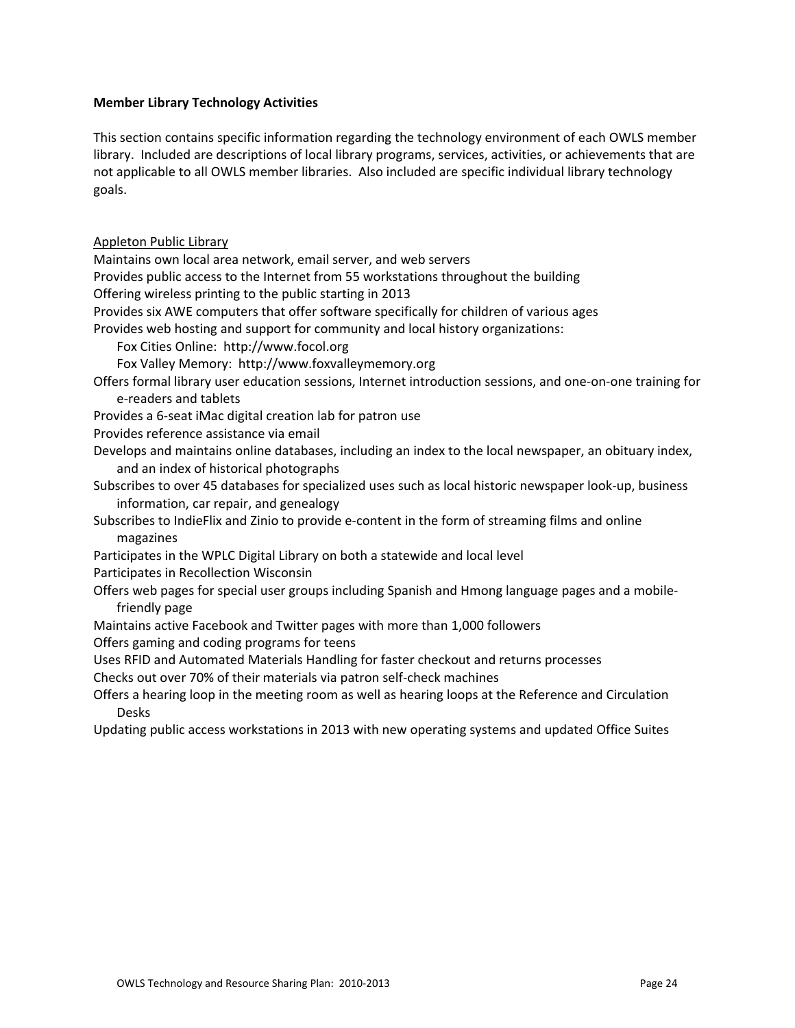### **Member Library Technology Activities**

This section contains specific information regarding the technology environment of each OWLS member library. Included are descriptions of local library programs, services, activities, or achievements that are not applicable to all OWLS member libraries. Also included are specific individual library technology goals.

Appleton Public Library Maintains own local area network, email server, and web servers Provides public access to the Internet from 55 workstations throughout the building Offering wireless printing to the public starting in 2013 Provides six AWE computers that offer software specifically for children of various ages Provides web hosting and support for community and local history organizations: Fox Cities Online: http://www.focol.org Fox Valley Memory: http://www.foxvalleymemory.org Offers formal library user education sessions, Internet introduction sessions, and one‐on‐one training for e‐readers and tablets Provides a 6‐seat iMac digital creation lab for patron use Provides reference assistance via email Develops and maintains online databases, including an index to the local newspaper, an obituary index, and an index of historical photographs Subscribes to over 45 databases for specialized uses such as local historic newspaper look‐up, business information, car repair, and genealogy Subscribes to IndieFlix and Zinio to provide e‐content in the form of streaming films and online magazines Participates in the WPLC Digital Library on both a statewide and local level Participates in Recollection Wisconsin Offers web pages for special user groups including Spanish and Hmong language pages and a mobile‐ friendly page Maintains active Facebook and Twitter pages with more than 1,000 followers Offers gaming and coding programs for teens Uses RFID and Automated Materials Handling for faster checkout and returns processes Checks out over 70% of their materials via patron self‐check machines Offers a hearing loop in the meeting room as well as hearing loops at the Reference and Circulation Desks Updating public access workstations in 2013 with new operating systems and updated Office Suites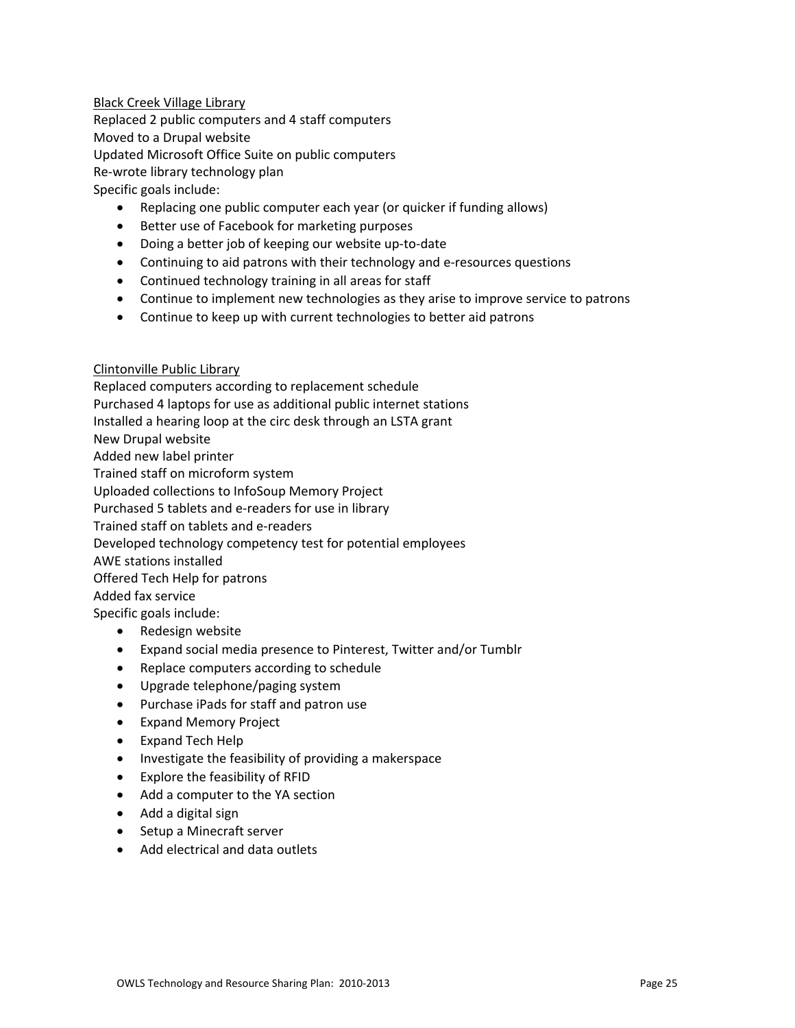### Black Creek Village Library

Replaced 2 public computers and 4 staff computers Moved to a Drupal website Updated Microsoft Office Suite on public computers Re‐wrote library technology plan Specific goals include:

- Replacing one public computer each year (or quicker if funding allows)
- Better use of Facebook for marketing purposes
- Doing a better job of keeping our website up-to-date
- Continuing to aid patrons with their technology and e-resources questions
- Continued technology training in all areas for staff
- Continue to implement new technologies as they arise to improve service to patrons
- Continue to keep up with current technologies to better aid patrons

### Clintonville Public Library

Replaced computers according to replacement schedule Purchased 4 laptops for use as additional public internet stations Installed a hearing loop at the circ desk through an LSTA grant New Drupal website Added new label printer Trained staff on microform system Uploaded collections to InfoSoup Memory Project Purchased 5 tablets and e‐readers for use in library Trained staff on tablets and e‐readers Developed technology competency test for potential employees AWE stations installed Offered Tech Help for patrons Added fax service Specific goals include: • Redesign website

- Expand social media presence to Pinterest, Twitter and/or Tumblr
- Replace computers according to schedule
- Upgrade telephone/paging system
- Purchase iPads for staff and patron use
- Expand Memory Project
- Expand Tech Help
- Investigate the feasibility of providing a makerspace
- Explore the feasibility of RFID
- Add a computer to the YA section
- Add a digital sign
- Setup a Minecraft server
- Add electrical and data outlets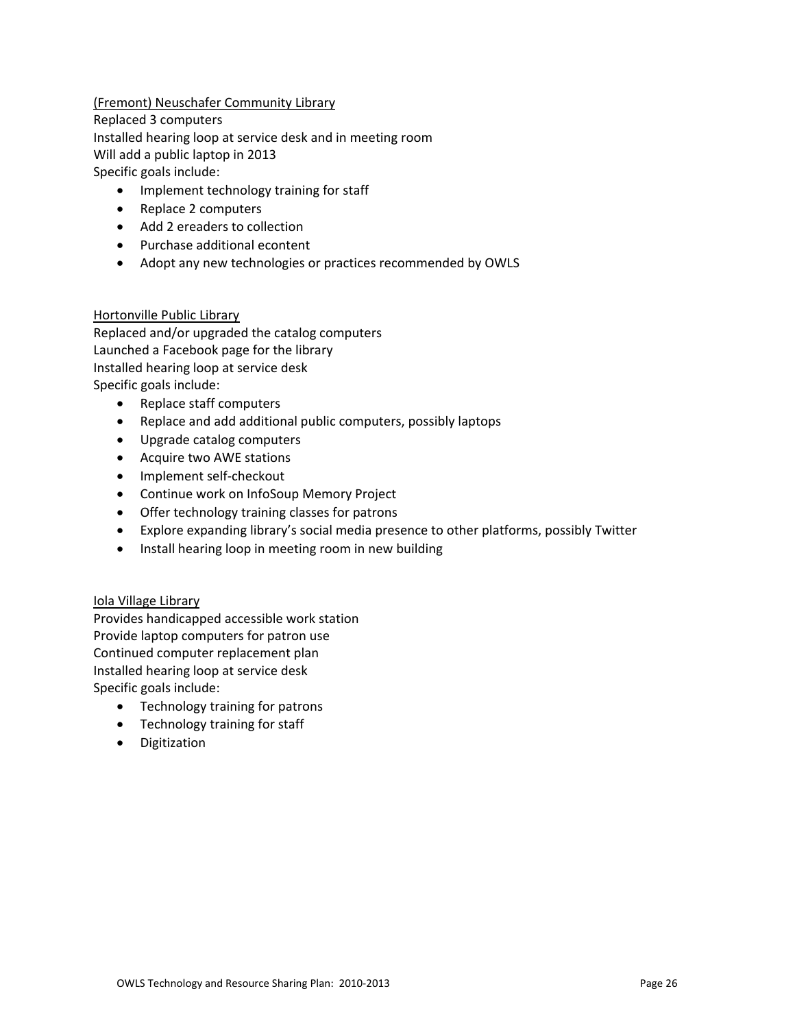# (Fremont) Neuschafer Community Library

Replaced 3 computers

Installed hearing loop at service desk and in meeting room

Will add a public laptop in 2013

Specific goals include:

- Implement technology training for staff
- Replace 2 computers
- Add 2 ereaders to collection
- Purchase additional econtent
- Adopt any new technologies or practices recommended by OWLS

# Hortonville Public Library

Replaced and/or upgraded the catalog computers Launched a Facebook page for the library Installed hearing loop at service desk Specific goals include:

- Replace staff computers
- Replace and add additional public computers, possibly laptops
- Upgrade catalog computers
- Acquire two AWE stations
- Implement self-checkout
- Continue work on InfoSoup Memory Project
- Offer technology training classes for patrons
- Explore expanding library's social media presence to other platforms, possibly Twitter
- Install hearing loop in meeting room in new building

# Iola Village Library

Provides handicapped accessible work station Provide laptop computers for patron use Continued computer replacement plan Installed hearing loop at service desk Specific goals include:

- Technology training for patrons
- Technology training for staff
- Digitization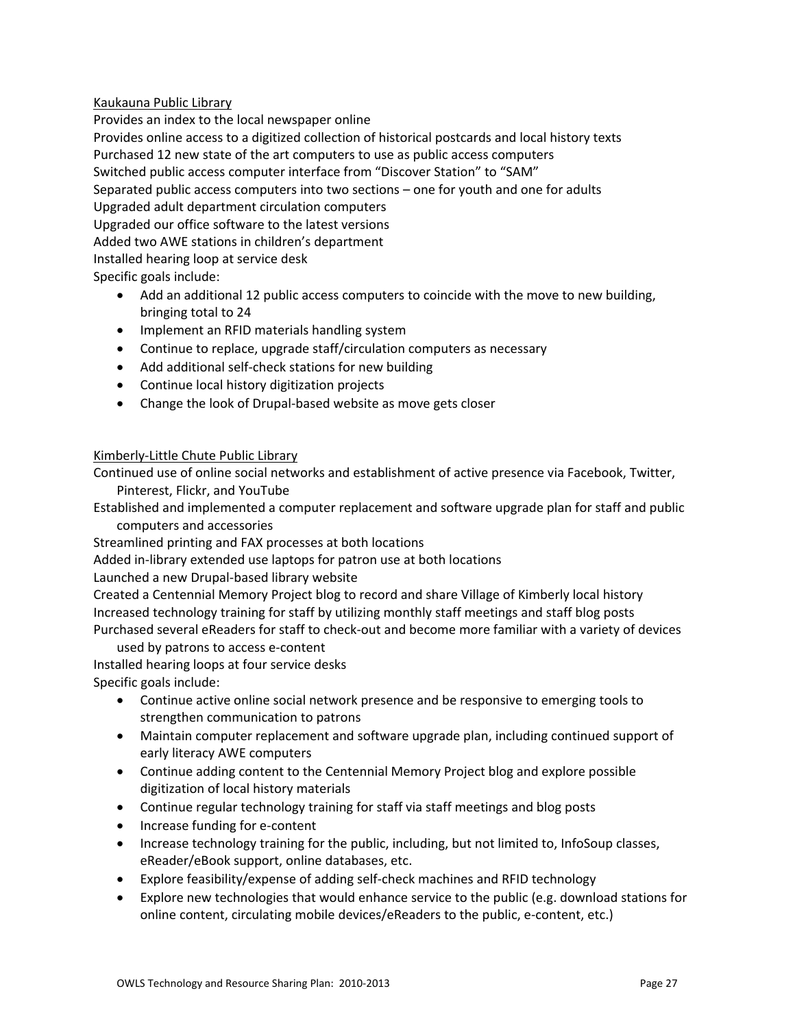# Kaukauna Public Library

Provides an index to the local newspaper online Provides online access to a digitized collection of historical postcards and local history texts Purchased 12 new state of the art computers to use as public access computers Switched public access computer interface from "Discover Station" to "SAM" Separated public access computers into two sections – one for youth and one for adults Upgraded adult department circulation computers Upgraded our office software to the latest versions Added two AWE stations in children's department Installed hearing loop at service desk Specific goals include:

- Add an additional 12 public access computers to coincide with the move to new building, bringing total to 24
- Implement an RFID materials handling system
- Continue to replace, upgrade staff/circulation computers as necessary
- Add additional self-check stations for new building
- Continue local history digitization projects
- Change the look of Drupal-based website as move gets closer

### Kimberly‐Little Chute Public Library

Continued use of online social networks and establishment of active presence via Facebook, Twitter, Pinterest, Flickr, and YouTube

Established and implemented a computer replacement and software upgrade plan for staff and public computers and accessories

Streamlined printing and FAX processes at both locations

Added in‐library extended use laptops for patron use at both locations

Launched a new Drupal‐based library website

Created a Centennial Memory Project blog to record and share Village of Kimberly local history Increased technology training for staff by utilizing monthly staff meetings and staff blog posts Purchased several eReaders for staff to check‐out and become more familiar with a variety of devices

used by patrons to access e‐content

Installed hearing loops at four service desks Specific goals include:

- Continue active online social network presence and be responsive to emerging tools to strengthen communication to patrons
- Maintain computer replacement and software upgrade plan, including continued support of early literacy AWE computers
- Continue adding content to the Centennial Memory Project blog and explore possible digitization of local history materials
- Continue regular technology training for staff via staff meetings and blog posts
- Increase funding for e-content
- Increase technology training for the public, including, but not limited to, InfoSoup classes, eReader/eBook support, online databases, etc.
- Explore feasibility/expense of adding self‐check machines and RFID technology
- Explore new technologies that would enhance service to the public (e.g. download stations for online content, circulating mobile devices/eReaders to the public, e‐content, etc.)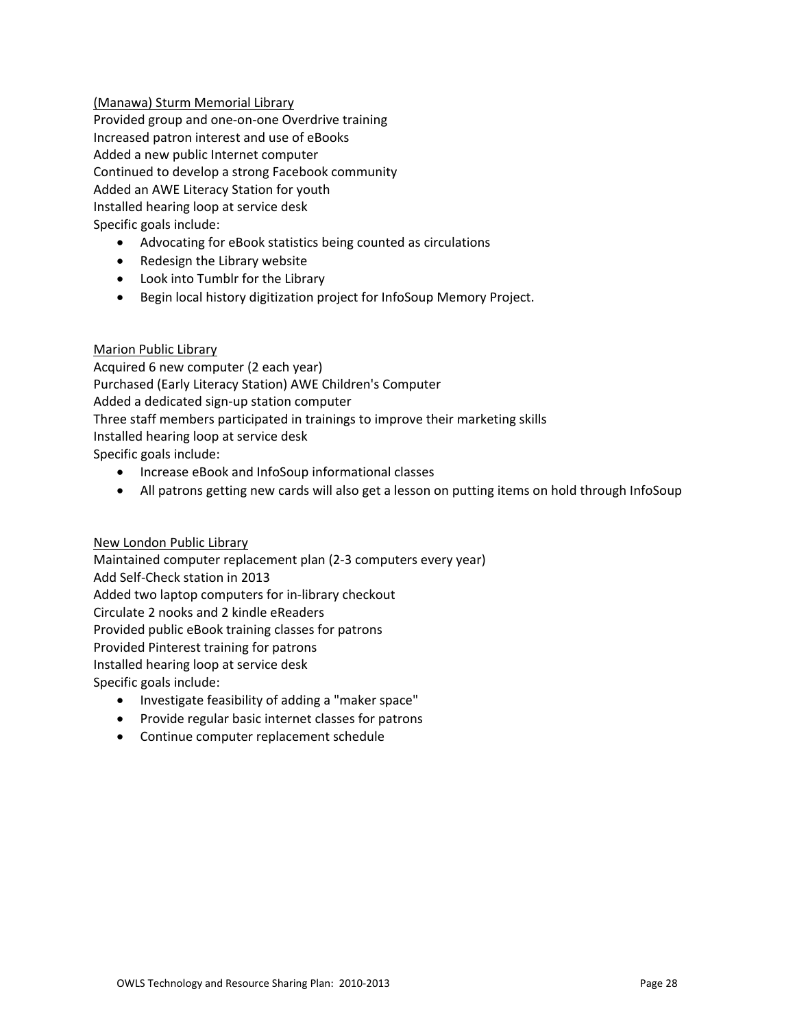# (Manawa) Sturm Memorial Library

Provided group and one‐on‐one Overdrive training Increased patron interest and use of eBooks Added a new public Internet computer Continued to develop a strong Facebook community Added an AWE Literacy Station for youth Installed hearing loop at service desk Specific goals include:

- Advocating for eBook statistics being counted as circulations
- Redesign the Library website
- Look into Tumblr for the Library
- Begin local history digitization project for InfoSoup Memory Project.

# Marion Public Library

Acquired 6 new computer (2 each year) Purchased (Early Literacy Station) AWE Children's Computer Added a dedicated sign‐up station computer Three staff members participated in trainings to improve their marketing skills Installed hearing loop at service desk Specific goals include:

- Increase eBook and InfoSoup informational classes
- All patrons getting new cards will also get a lesson on putting items on hold through InfoSoup

# New London Public Library

Maintained computer replacement plan (2‐3 computers every year) Add Self‐Check station in 2013 Added two laptop computers for in‐library checkout Circulate 2 nooks and 2 kindle eReaders Provided public eBook training classes for patrons Provided Pinterest training for patrons Installed hearing loop at service desk Specific goals include:

- Investigate feasibility of adding a "maker space"
- Provide regular basic internet classes for patrons
- Continue computer replacement schedule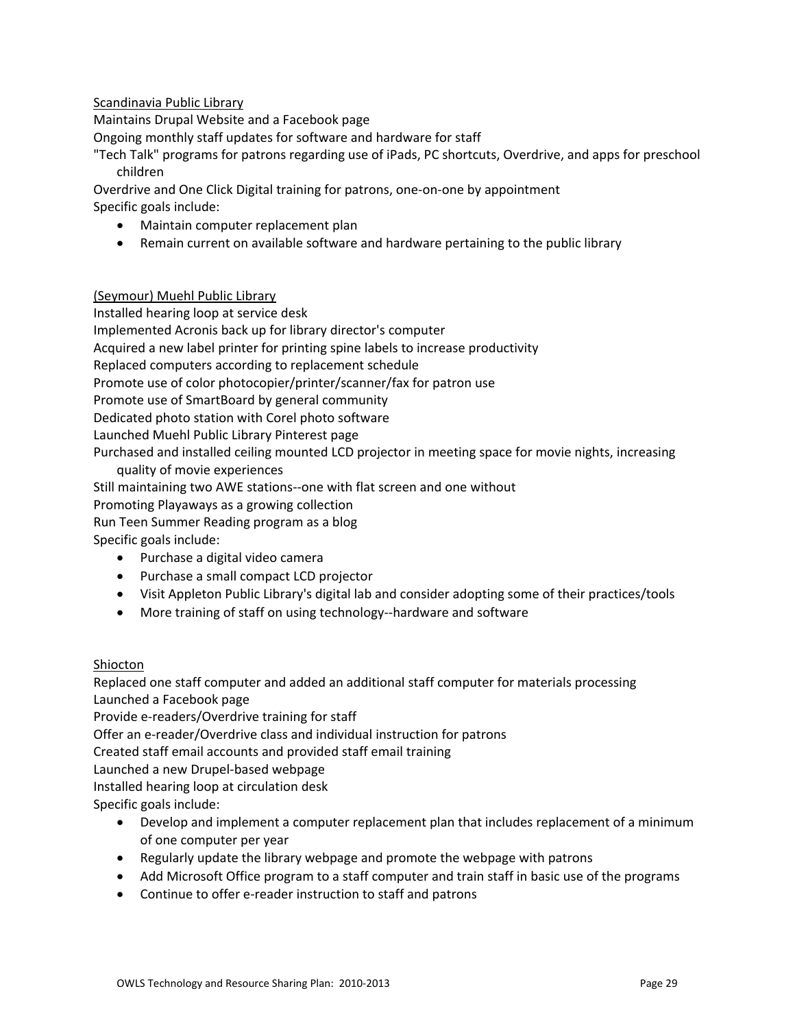# Scandinavia Public Library

Maintains Drupal Website and a Facebook page

Ongoing monthly staff updates for software and hardware for staff

"Tech Talk" programs for patrons regarding use of iPads, PC shortcuts, Overdrive, and apps for preschool children

Overdrive and One Click Digital training for patrons, one‐on‐one by appointment Specific goals include:

- Maintain computer replacement plan
- Remain current on available software and hardware pertaining to the public library

# (Seymour) Muehl Public Library

Installed hearing loop at service desk Implemented Acronis back up for library director's computer Acquired a new label printer for printing spine labels to increase productivity Replaced computers according to replacement schedule Promote use of color photocopier/printer/scanner/fax for patron use Promote use of SmartBoard by general community Dedicated photo station with Corel photo software Launched Muehl Public Library Pinterest page Purchased and installed ceiling mounted LCD projector in meeting space for movie nights, increasing quality of movie experiences

Still maintaining two AWE stations‐‐one with flat screen and one without

Promoting Playaways as a growing collection

Run Teen Summer Reading program as a blog

Specific goals include:

- Purchase a digital video camera
- Purchase a small compact LCD projector
- Visit Appleton Public Library's digital lab and consider adopting some of their practices/tools
- More training of staff on using technology--hardware and software

# Shiocton

Replaced one staff computer and added an additional staff computer for materials processing Launched a Facebook page

Provide e‐readers/Overdrive training for staff

Offer an e‐reader/Overdrive class and individual instruction for patrons

Created staff email accounts and provided staff email training

Launched a new Drupel‐based webpage

Installed hearing loop at circulation desk

Specific goals include:

- Develop and implement a computer replacement plan that includes replacement of a minimum of one computer per year
- Regularly update the library webpage and promote the webpage with patrons
- Add Microsoft Office program to a staff computer and train staff in basic use of the programs
- Continue to offer e-reader instruction to staff and patrons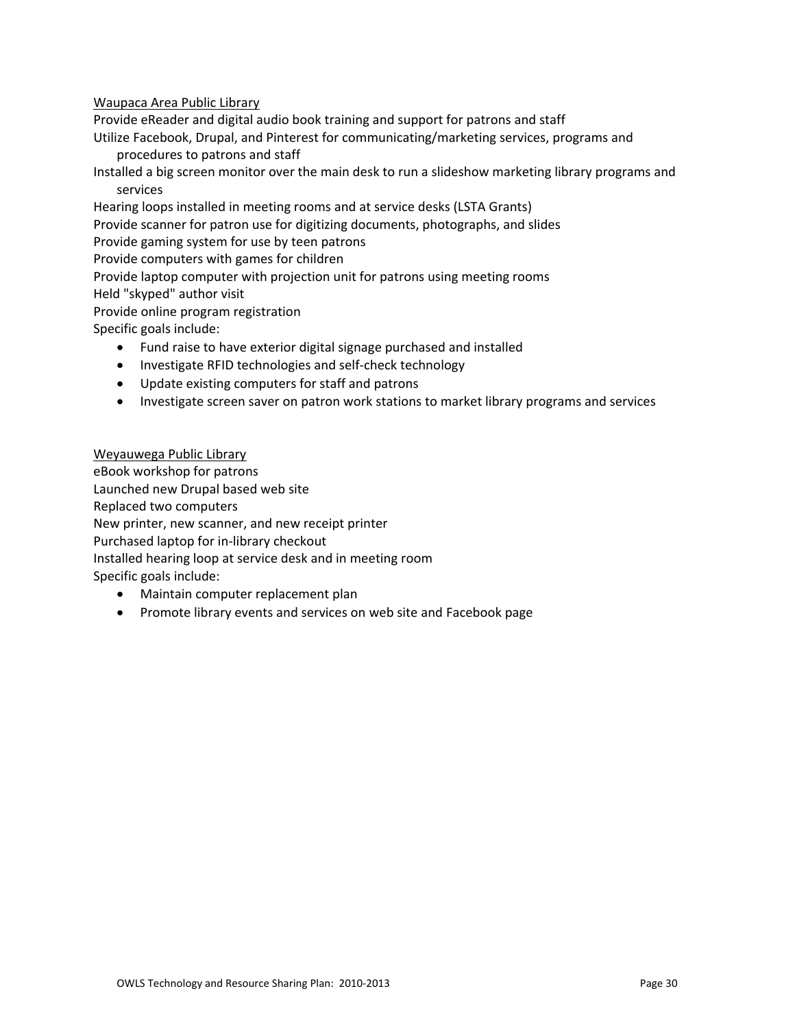### Waupaca Area Public Library

Provide eReader and digital audio book training and support for patrons and staff

- Utilize Facebook, Drupal, and Pinterest for communicating/marketing services, programs and procedures to patrons and staff
- Installed a big screen monitor over the main desk to run a slideshow marketing library programs and services
- Hearing loops installed in meeting rooms and at service desks (LSTA Grants)

Provide scanner for patron use for digitizing documents, photographs, and slides

Provide gaming system for use by teen patrons

Provide computers with games for children

- Provide laptop computer with projection unit for patrons using meeting rooms
- Held "skyped" author visit

Provide online program registration

Specific goals include:

- Fund raise to have exterior digital signage purchased and installed
- Investigate RFID technologies and self-check technology
- Update existing computers for staff and patrons
- Investigate screen saver on patron work stations to market library programs and services

# Weyauwega Public Library

eBook workshop for patrons Launched new Drupal based web site Replaced two computers New printer, new scanner, and new receipt printer Purchased laptop for in‐library checkout Installed hearing loop at service desk and in meeting room Specific goals include:

- Maintain computer replacement plan
- Promote library events and services on web site and Facebook page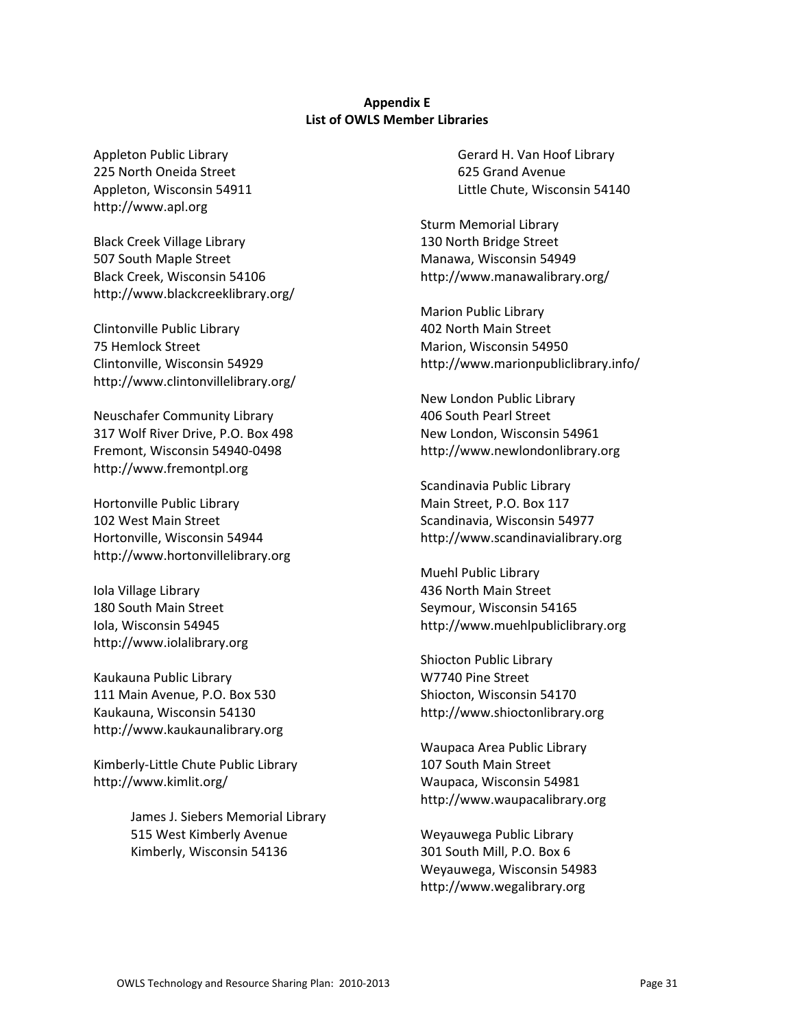### **Appendix E List of OWLS Member Libraries**

Appleton Public Library 225 North Oneida Street Appleton, Wisconsin 54911 http://www.apl.org

Black Creek Village Library 507 South Maple Street Black Creek, Wisconsin 54106 http://www.blackcreeklibrary.org/

Clintonville Public Library 75 Hemlock Street Clintonville, Wisconsin 54929 http://www.clintonvillelibrary.org/

Neuschafer Community Library 317 Wolf River Drive, P.O. Box 498 Fremont, Wisconsin 54940‐0498 http://www.fremontpl.org

Hortonville Public Library 102 West Main Street Hortonville, Wisconsin 54944 http://www.hortonvillelibrary.org

Iola Village Library 180 South Main Street Iola, Wisconsin 54945 http://www.iolalibrary.org

Kaukauna Public Library 111 Main Avenue, P.O. Box 530 Kaukauna, Wisconsin 54130 http://www.kaukaunalibrary.org

Kimberly‐Little Chute Public Library http://www.kimlit.org/

> James J. Siebers Memorial Library 515 West Kimberly Avenue Kimberly, Wisconsin 54136

Gerard H. Van Hoof Library 625 Grand Avenue Little Chute, Wisconsin 54140

Sturm Memorial Library 130 North Bridge Street Manawa, Wisconsin 54949 http://www.manawalibrary.org/

Marion Public Library 402 North Main Street Marion, Wisconsin 54950 http://www.marionpubliclibrary.info/

New London Public Library 406 South Pearl Street New London, Wisconsin 54961 http://www.newlondonlibrary.org

Scandinavia Public Library Main Street, P.O. Box 117 Scandinavia, Wisconsin 54977 http://www.scandinavialibrary.org

Muehl Public Library 436 North Main Street Seymour, Wisconsin 54165 http://www.muehlpubliclibrary.org

Shiocton Public Library W7740 Pine Street Shiocton, Wisconsin 54170 http://www.shioctonlibrary.org

Waupaca Area Public Library 107 South Main Street Waupaca, Wisconsin 54981 http://www.waupacalibrary.org

Weyauwega Public Library 301 South Mill, P.O. Box 6 Weyauwega, Wisconsin 54983 http://www.wegalibrary.org